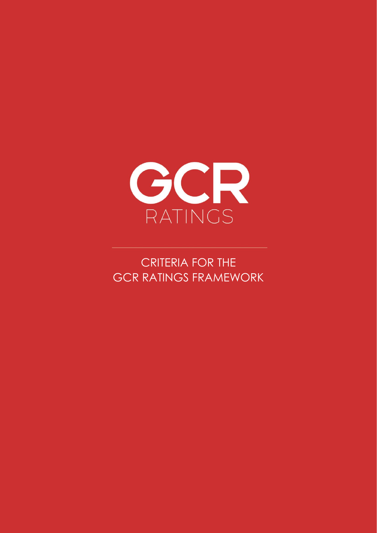

CRITERIA FOR THE GCR RATINGS FRAMEWORK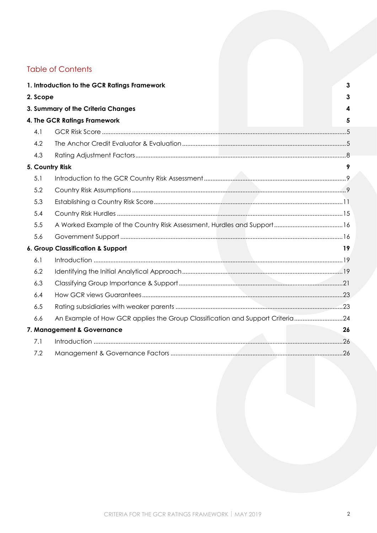# **Table of Contents**

|          | 1. Introduction to the GCR Ratings Framework                                  | 3  |
|----------|-------------------------------------------------------------------------------|----|
| 2. Scope |                                                                               | 3  |
|          | 3. Summary of the Criteria Changes                                            |    |
|          | 4. The GCR Ratings Framework                                                  | 5  |
| 4.1      |                                                                               |    |
| 4.2      |                                                                               |    |
| 4.3      |                                                                               |    |
|          | 5. Country Risk                                                               |    |
| 5.1      |                                                                               |    |
| 5.2      |                                                                               |    |
| 5.3      |                                                                               |    |
| 5.4      |                                                                               |    |
| 5.5      |                                                                               |    |
| 5.6      |                                                                               |    |
|          | 6. Group Classification & Support                                             | 19 |
| 6.1      |                                                                               |    |
| 6.2      |                                                                               |    |
| 6.3      |                                                                               |    |
| 6.4      |                                                                               |    |
| 6.5      |                                                                               |    |
| 6.6      | An Example of How GCR applies the Group Classification and Support Criteria24 |    |
|          | 7. Management & Governance                                                    | 26 |
| 7.1      |                                                                               |    |
| 7.2      |                                                                               |    |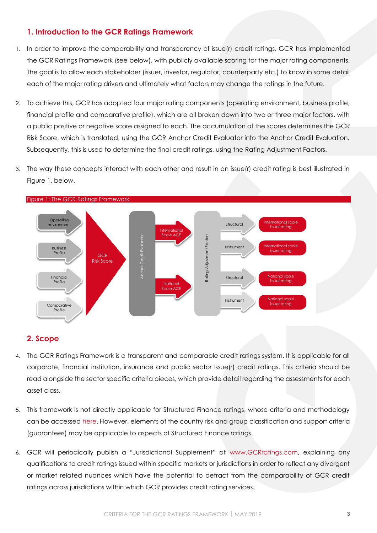# <span id="page-2-0"></span>**1. Introduction to the GCR Ratings Framework**

- 1. In order to improve the comparability and transparency of issue(r) credit ratings, GCR has implemented the GCR Ratings Framework (see below), with publicly available scoring for the major rating components. The goal is to allow each stakeholder (issuer, investor, regulator, counterparty etc.) to know in some detail each of the major rating drivers and ultimately what factors may change the ratings in the future.
- 2. To achieve this, GCR has adopted four major rating components (operating environment, business profile, financial profile and comparative profile), which are all broken down into two or three major factors, with a public positive or negative score assigned to each. The accumulation of the scores determines the GCR Risk Score, which is translated, using the GCR Anchor Credit Evaluator into the Anchor Credit Evaluation. Subsequently, this is used to determine the final credit ratings, using the Rating Adjustment Factors.
- 3. The way these concepts interact with each other and result in an issue(r) credit rating is best illustrated in [Figure 1,](#page-2-2) below.



<span id="page-2-2"></span>

### <span id="page-2-1"></span>**2. Scope**

- 4. The GCR Ratings Framework is a transparent and comparable credit ratings system. It is applicable for all corporate, financial institution, insurance and public sector issue(r) credit ratings. This criteria should be read alongside the sector specific criteria pieces, which provide detail regarding the assessments for each asset class.
- 5. This framework is not directly applicable for Structured Finance ratings, whose criteria and methodology can be accessed [here.](http://gcrratings.com/criteria) However, elements of the country risk and group classification and support criteria (guarantees) may be applicable to aspects of Structured Finance ratings.
- 6. GCR will periodically publish a "Jurisdictional Supplement" at [www.GCRratings.com,](http://gcrratings.com/criteria) explaining any qualifications to credit ratings issued within specific markets or jurisdictions in order to reflect any divergent or market related nuances which have the potential to detract from the comparability of GCR credit ratings across jurisdictions within which GCR provides credit rating services.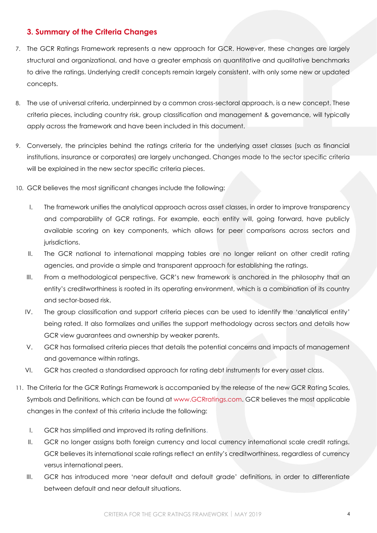## <span id="page-3-0"></span>**3. Summary of the Criteria Changes**

- 7. The GCR Ratings Framework represents a new approach for GCR. However, these changes are largely structural and organizational, and have a greater emphasis on quantitative and qualitative benchmarks to drive the ratings. Underlying credit concepts remain largely consistent, with only some new or updated concepts.
- 8. The use of universal criteria, underpinned by a common cross-sectoral approach, is a new concept. These criteria pieces, including country risk, group classification and management & governance, will typically apply across the framework and have been included in this document.
- 9. Conversely, the principles behind the ratings criteria for the underlying asset classes (such as financial institutions, insurance or corporates) are largely unchanged. Changes made to the sector specific criteria will be explained in the new sector specific criteria pieces.
- 10. GCR believes the most significant changes include the following:
	- I. The framework unifies the analytical approach across asset classes, in order to improve transparency and comparability of GCR ratings. For example, each entity will, going forward, have publicly available scoring on key components, which allows for peer comparisons across sectors and jurisdictions.
	- II. The GCR national to international mapping tables are no longer reliant on other credit rating agencies, and provide a simple and transparent approach for establishing the ratings.
	- III. From a methodological perspective, GCR's new framework is anchored in the philosophy that an entity's creditworthiness is rooted in its operating environment, which is a combination of its country and sector-based risk.
	- IV. The group classification and support criteria pieces can be used to identify the 'analytical entity' being rated. It also formalizes and unifies the support methodology across sectors and details how GCR view guarantees and ownership by weaker parents.
	- V. GCR has formalised criteria pieces that details the potential concerns and impacts of management and governance within ratings.
	- VI. GCR has created a standardised approach for rating debt instruments for every asset class.
- 11. The Criteria for the GCR Ratings Framework is accompanied by the release of the new GCR Rating Scales, Symbols and Definitions, which can be found at [www.GCRratings.com.](www.GCRratings.com) GCR believes the most applicable changes in the context of this criteria include the following:
	- I. GCR has simplified and improved its rating definitions.
	- II. GCR no longer assigns both foreign currency and local currency international scale credit ratings. GCR believes its international scale ratings reflect an entity's creditworthiness, regardless of currency versus international peers.
	- III. GCR has introduced more 'near default and default grade' definitions, in order to differentiate between default and near default situations.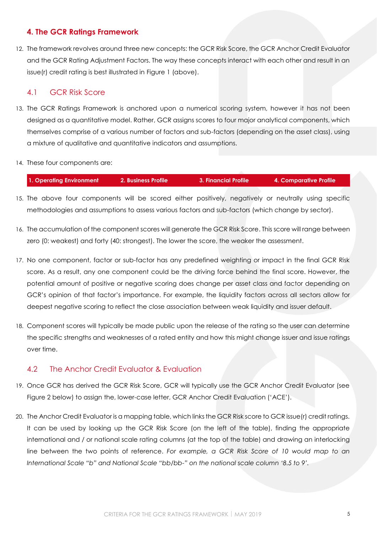# <span id="page-4-0"></span>**4. The GCR Ratings Framework**

12. The framework revolves around three new concepts: the GCR Risk Score, the GCR Anchor Credit Evaluator and the GCR Rating Adjustment Factors. The way these concepts interact with each other and result in an issue(r) credit rating is best illustrated in [Figure 1](#page-2-2) [\(above\)](#page-2-2).

## <span id="page-4-1"></span>4.1 GCR Risk Score

13. The GCR Ratings Framework is anchored upon a numerical scoring system, however it has not been designed as a quantitative model. Rather, GCR assigns scores to four major analytical components, which themselves comprise of a various number of factors and sub-factors (depending on the asset class), using a mixture of qualitative and quantitative indicators and assumptions.

#### 14. These four components are:

| 1. Operating Environment | 2. Business Profile | 3. Financial Profile | 4. Comparative Profile |
|--------------------------|---------------------|----------------------|------------------------|
|                          |                     |                      |                        |

- 15. The above four components will be scored either positively, negatively or neutrally using specific methodologies and assumptions to assess various factors and sub-factors (which change by sector).
- 16. The accumulation of the component scores will generate the GCR Risk Score. This score will range between zero (0: weakest) and forty (40: strongest). The lower the score, the weaker the assessment.
- 17. No one component, factor or sub-factor has any predefined weighting or impact in the final GCR Risk score. As a result, any one component could be the driving force behind the final score. However, the potential amount of positive or negative scoring does change per asset class and factor depending on GCR's opinion of that factor's importance. For example, the liquidity factors across all sectors allow for deepest negative scoring to reflect the close association between weak liquidity and issuer default.
- 18. Component scores will typically be made public upon the release of the rating so the user can determine the specific strengths and weaknesses of a rated entity and how this might change issuer and issue ratings over time.

# <span id="page-4-2"></span>4.2 The Anchor Credit Evaluator & Evaluation

- 19. Once GCR has derived the GCR Risk Score, GCR will typically use the GCR Anchor Credit Evaluator (see [Figure 2](#page-6-0) below) to assign the, lower-case letter, GCR Anchor Credit Evaluation ('ACE').
- 20. The Anchor Credit Evaluator is a mapping table, which links the GCR Risk score to GCR issue(r) credit ratings. It can be used by looking up the GCR Risk Score (on the left of the table), finding the appropriate international and / or national scale rating columns (at the top of the table) and drawing an interlocking line between the two points of reference. *For example, a GCR Risk Score of 10 would map to an International Scale "b" and National Scale "bb/bb-" on the national scale column '8.5 to 9'.*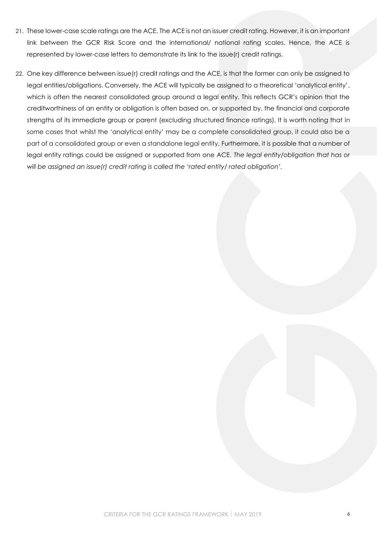- 21. These lower-case scale ratings are the ACE. The ACE is not an issuer credit rating. However, it is an important link between the GCR Risk Score and the international/ national rating scales. Hence, the ACE is represented by lower-case letters to demonstrate its link to the issue(r) credit ratings.
- 22. One key difference between issue(r) credit ratings and the ACE, is that the former can only be assigned to legal entities/obligations. Conversely, the ACE will typically be assigned to a theoretical 'analytical entity', which is often the nearest consolidated group around a legal entity. This reflects GCR's opinion that the creditworthiness of an entity or obligation is often based on, or supported by, the financial and corporate strengths of its immediate group or parent (excluding structured finance ratings). It is worth noting that in some cases that whilst the 'analytical entity' may be a complete consolidated group, it could also be a part of a consolidated group or even a standalone legal entity. Furthermore, it is possible that a number of legal entity ratings could be assigned or supported from one ACE. *The legal entity/obligation that has or will be assigned an issue(r) credit rating is called the 'rated entity/ rated obligation'.*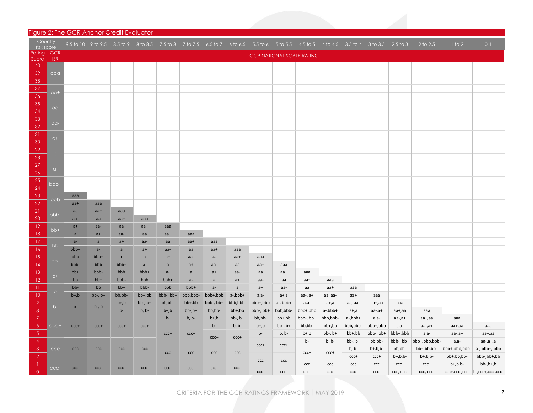#### Figure 2: The GCR Anchor Credit Evaluator

<span id="page-6-0"></span>

| Country<br>risk score |            |               |              |              |              |              |               |                      |              |           |              |                                  |              |              | 9.5 to 10 9 to 9.5 8.5 to 9 8 to 8.5 7.5 to 8 7 to 7.5 6.5 to 7 6 to 6.5 5.5 to 6 5 to 5.5 4.5 to 5 4 to 4.5 3.5 to 4 3 to 3.5 2.5 to 3 |             | $2$ to $2.5$            | 1 to 2        | $0 - 1$                          |
|-----------------------|------------|---------------|--------------|--------------|--------------|--------------|---------------|----------------------|--------------|-----------|--------------|----------------------------------|--------------|--------------|-----------------------------------------------------------------------------------------------------------------------------------------|-------------|-------------------------|---------------|----------------------------------|
| Rating                | <b>GCR</b> |               |              |              |              |              |               |                      |              |           |              | <b>GCR NATIONAL SCALE RATING</b> |              |              |                                                                                                                                         |             |                         |               |                                  |
| Score<br>40           | <b>ISR</b> |               |              |              |              |              |               |                      |              |           |              |                                  |              |              |                                                                                                                                         |             |                         |               |                                  |
| 39                    | aaa        |               |              |              |              |              |               |                      |              |           |              |                                  |              |              |                                                                                                                                         |             |                         |               |                                  |
| 38                    |            |               |              |              |              |              |               |                      |              |           |              |                                  |              |              |                                                                                                                                         |             |                         |               |                                  |
| 37                    |            |               |              |              |              |              |               |                      |              |           |              |                                  |              |              |                                                                                                                                         |             |                         |               |                                  |
| 36                    | $a +$      |               |              |              |              |              |               |                      |              |           |              |                                  |              |              |                                                                                                                                         |             |                         |               |                                  |
| 35                    |            |               |              |              |              |              |               |                      |              |           |              |                                  |              |              |                                                                                                                                         |             |                         |               |                                  |
| 34                    | $a\alpha$  |               |              |              |              |              |               |                      |              |           |              |                                  |              |              |                                                                                                                                         |             |                         |               |                                  |
| 33                    | $\alpha$   |               |              |              |              |              |               |                      |              |           |              |                                  |              |              |                                                                                                                                         |             |                         |               |                                  |
| 32                    |            |               |              |              |              |              |               |                      |              |           |              |                                  |              |              |                                                                                                                                         |             |                         |               |                                  |
| 31                    | $Q+$       |               |              |              |              |              |               |                      |              |           |              |                                  |              |              |                                                                                                                                         |             |                         |               |                                  |
| 30                    |            |               |              |              |              |              |               |                      |              |           |              |                                  |              |              |                                                                                                                                         |             |                         |               |                                  |
| 29                    | $\alpha$   |               |              |              |              |              |               |                      |              |           |              |                                  |              |              |                                                                                                                                         |             |                         |               |                                  |
| 28                    |            |               |              |              |              |              |               |                      |              |           |              |                                  |              |              |                                                                                                                                         |             |                         |               |                                  |
| 27<br>26              | $Q-$       |               |              |              |              |              |               |                      |              |           |              |                                  |              |              |                                                                                                                                         |             |                         |               |                                  |
| 25                    |            |               |              |              |              |              |               |                      |              |           |              |                                  |              |              |                                                                                                                                         |             |                         |               |                                  |
| 24                    | bbb+       |               |              |              |              |              |               |                      |              |           |              |                                  |              |              |                                                                                                                                         |             |                         |               |                                  |
| 23                    |            | aaa           |              |              |              |              |               |                      |              |           |              |                                  |              |              |                                                                                                                                         |             |                         |               |                                  |
| 22                    | bbb        | $aa+$         | aaa          |              |              |              |               |                      |              |           |              |                                  |              |              |                                                                                                                                         |             |                         |               |                                  |
| 21                    | bbb-       | aa            | $aa+$        | aaa          |              |              |               |                      |              |           |              |                                  |              |              |                                                                                                                                         |             |                         |               |                                  |
| 20                    |            | aa-           | aa           | $aa+$        | aaa          |              |               |                      |              |           |              |                                  |              |              |                                                                                                                                         |             |                         |               |                                  |
| 19                    | bb+        | $a+$          | aa-          | aa           | $aa+$        | aaa          |               |                      |              |           |              |                                  |              |              |                                                                                                                                         |             |                         |               |                                  |
| 18                    |            | $\mathsf{a}$  | $a+$         | aa-          | aa           | aa+          | aaa           |                      |              |           |              |                                  |              |              |                                                                                                                                         |             |                         |               |                                  |
| 17                    | bb         | $a-$          | $\mathsf{a}$ | $a+$         | aa-          | aa           | $aa+$         | aaa                  |              |           |              |                                  |              |              |                                                                                                                                         |             |                         |               |                                  |
| 16                    |            | bbb+          | $a-$         | $\mathsf{a}$ | $a+$         | aa-          | aa            | $aa+$                | aaa          |           |              |                                  |              |              |                                                                                                                                         |             |                         |               |                                  |
| 15                    | bb-        | bbb           | bbb+         | $a -$        | a            | $a+$         | aa-           | aa                   | $aa+$        | aaa       |              |                                  |              |              |                                                                                                                                         |             |                         |               |                                  |
| 14                    |            | bbb-<br>$bb+$ | bbb<br>bbb-  | bbb+<br>bbb  | $a-$<br>bbb+ | $\mathsf{a}$ | $a+$          | aa-                  | aa           | $aa+$     | aaa          |                                  |              |              |                                                                                                                                         |             |                         |               |                                  |
| 13<br>12              | $b+$       | bb            | $bb+$        | bbb-         | bbb          | $a-$<br>bbb+ | a<br>$a-$     | $a+$<br>$\mathsf{a}$ | aa-<br>$a+$  | aa<br>aa- | aa+<br>aa    | aaa<br>aa+                       | aaa          |              |                                                                                                                                         |             |                         |               |                                  |
| $\overline{11}$       |            | bb-           | bb           | $bb+$        | bbb-         | bbb          | bbb+          | $a-$                 | $\mathsf{a}$ | $a+$      | aa-          | aa                               | aa+          | aaa          |                                                                                                                                         |             |                         |               |                                  |
| 10                    | b          | $b+, b$       | $bb-$ , $b+$ | bb,bb-       | bb+,bb       | bbb-, bb+    | bbb,bbb-      | bbb+,bbb             | a-,bbb+      | $a,a-$    | $a+$ , $a$   | $aa-, a+$                        | aa, aa-      | aa+          | aaa                                                                                                                                     |             |                         |               |                                  |
| 9                     |            |               |              | $b+, b$      | $bb-$ , $b+$ | bb,bb-       | bb+,bb        | bbb-, bb+            | bbb,bbb-     | bbb+,bbb  | $a-$ , bbb+  | $a,a-$                           | $a+,a$       | aa, aa-      | aa+,aa                                                                                                                                  | ааа         |                         |               |                                  |
| 8                     | $b-$       | $b -$         | $b-, b$      | $b -$        | $b, b$ -     | $b+, b$      | $bb-$ , $bt+$ | bb,bb-               | bb+,bb       | bbb-, bb+ | bbb,bbb-     | bbb+,bbb                         | a-,bbb+      | a+,a         | aa-,a+                                                                                                                                  | aa+,aa      | aaa                     |               |                                  |
| 7                     |            |               |              |              |              | $b -$        | $b, b-$       | $b+, b$              | $bb-$ , $b+$ | bb,bb-    | bb+,bb       | bbb-, bb+                        | bbb,bbb-     | a-,bbb+      | $a,a-$                                                                                                                                  | $aa-,a+$    | aa+,aa                  | aaa           |                                  |
| 6                     | $CCC+$     | $CCC+$        | $CCC+$       | $ccc +$      | $ccc +$      |              |               | $b -$                | $b, b$ -     | $b+, b$   | $bb-$ , $b+$ | bb,bb-                           | bb+,bb       | bbb,bbb-     | bbb+,bbb                                                                                                                                | $a,a-$      | $aa-,a+$                | aa+,aa        | aaa                              |
| $\sqrt{5}$            |            |               |              |              |              | $ccc +$      | $ccc +$       | $ccc +$              | $ccc +$      | $b-$      | $b, b$ -     | $b+, b$                          | $bb-$ , $b+$ | bb+,bb       | bbb-, bb+                                                                                                                               | bbb+,bbb    | $a,a-$                  | $aa-,a+$      | aa+,aa                           |
| $\overline{4}$        |            |               |              |              |              |              |               |                      |              | $ccc +$   | $ccc +$      | b-                               | $b, b$ -     | $bb-$ , $b+$ | bb,bb-                                                                                                                                  |             | bbb-, bb+ bbb+,bbb,bbb- | $a,a-$        | $aa-,a+,a$                       |
| 3                     | ccc        | ccc           | ccc          | ccc          | ccc          | ccc          | ccc           | ccc                  | ccc          |           |              | $ccc +$                          | $ccc+$       | $b, b-$      | $b+, b, b-$                                                                                                                             | bb,bb-      | bb+,bb,bb-              | bbb+,bbb,bbb- | a-, bbb+, bbb                    |
| $\overline{2}$        |            |               |              |              |              |              |               |                      |              | ccc       | ccc          |                                  |              | $CCC +$      | $ccc+$                                                                                                                                  | $b+, b, b-$ | $b+, b, b-$             | bb+,bb,bb-    | bbb-,bb+,bb                      |
| -1<br>$\overline{0}$  | CCC-       | CCC-          | CCC-         | CCC-         | CCC-         | CCC-         | CCC-          | CCC-                 | CCC-         |           |              | ccc                              | ccc          | ccc          | ccc                                                                                                                                     | $ccc +$     | $ccc +$                 | $b+, b, b-$   | $bb-, b+, b$                     |
|                       |            |               |              |              |              |              |               |                      |              | ccc-      | ccc-         | ccc-                             | ccc-         | ccc-         | ccc-                                                                                                                                    | ccc, ccc-   | ccc, ccc-               |               | -ccc+,ccc ,ccc- b-,ccc+,ccc ,ccc |

CRITERIA FOR THE GCR RATINGS FRAMEWORK | MAY 2019 7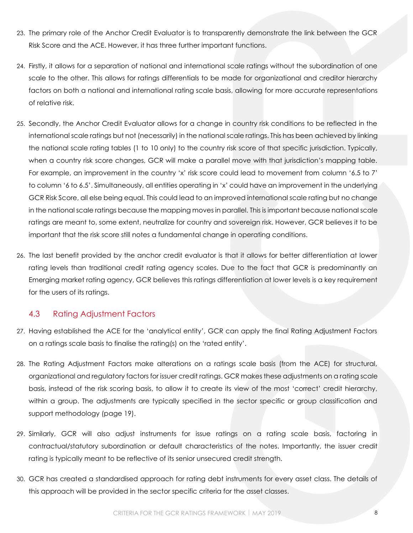- 23. The primary role of the Anchor Credit Evaluator is to transparently demonstrate the link between the GCR Risk Score and the ACE. However, it has three further important functions.
- 24. Firstly, it allows for a separation of national and international scale ratings without the subordination of one scale to the other. This allows for ratings differentials to be made for organizational and creditor hierarchy factors on both a national and international rating scale basis, allowing for more accurate representations of relative risk.
- 25. Secondly, the Anchor Credit Evaluator allows for a change in country risk conditions to be reflected in the international scale ratings but not (necessarily) in the national scale ratings. This has been achieved by linking the national scale rating tables (1 to 10 only) to the country risk score of that specific jurisdiction. Typically, when a country risk score changes, GCR will make a parallel move with that jurisdiction's mapping table. For example, an improvement in the country 'x' risk score could lead to movement from column '6.5 to 7' to column '6 to 6.5'. Simultaneously, all entities operating in 'x' could have an improvement in the underlying GCR Risk Score, all else being equal. This could lead to an improved international scale rating but no change in the national scale ratings because the mapping moves in parallel. This is important because national scale ratings are meant to, some extent, neutralize for country and sovereign risk. However, GCR believes it to be important that the risk score still notes a fundamental change in operating conditions.
- 26. The last benefit provided by the anchor credit evaluator is that it allows for better differentiation at lower rating levels than traditional credit rating agency scales. Due to the fact that GCR is predominantly an Emerging market rating agency, GCR believes this ratings differentiation at lower levels is a key requirement for the users of its ratings.

### 4.3 Rating Adjustment Factors

- <span id="page-7-0"></span>27. Having established the ACE for the 'analytical entity', GCR can apply the final Rating Adjustment Factors on a ratings scale basis to finalise the rating(s) on the 'rated entity'.
- 28. The Rating Adjustment Factors make alterations on a ratings scale basis (from the ACE) for structural, organizational and regulatory factors for issuer credit ratings. GCR makes these adjustments on a rating scale basis, instead of the risk scoring basis, to allow it to create its view of the most 'correct' credit hierarchy, within a group. The adjustments are typically specified in the sector specific or group classification and support methodology (page [19\)](#page-18-3).
- 29. Similarly, GCR will also adjust instruments for issue ratings on a rating scale basis, factoring in contractual/statutory subordination or default characteristics of the notes. Importantly, the issuer credit rating is typically meant to be reflective of its senior unsecured credit strength.
- 30. GCR has created a standardised approach for rating debt instruments for every asset class. The details of this approach will be provided in the sector specific criteria for the asset classes.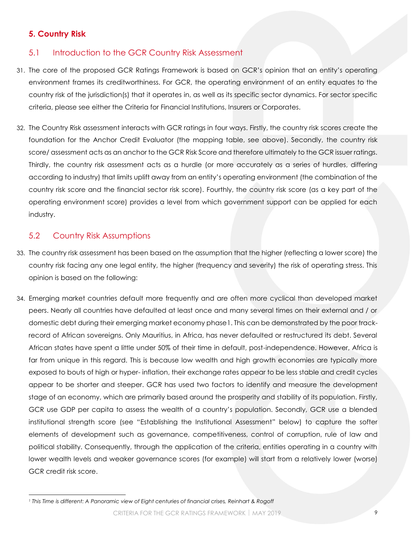# **5. Country Risk**

# 5.1 Introduction to the GCR Country Risk Assessment

- <span id="page-8-1"></span><span id="page-8-0"></span>31. The core of the proposed GCR Ratings Framework is based on GCR's opinion that an entity's operating environment frames its creditworthiness. For GCR, the operating environment of an entity equates to the country risk of the jurisdiction(s) that it operates in, as well as its specific sector dynamics. For sector specific criteria, please see either the Criteria for Financial Institutions, Insurers or Corporates.
- 32. The Country Risk assessment interacts with GCR ratings in four ways. Firstly, the country risk scores create the foundation for the Anchor Credit Evaluator (the mapping table, see above). Secondly, the country risk score/ assessment acts as an anchor to the GCR Risk Score and therefore ultimately to the GCR issuer ratings. Thirdly, the country risk assessment acts as a hurdle (or more accurately as a series of hurdles, differing according to industry) that limits uplift away from an entity's operating environment (the combination of the country risk score and the financial sector risk score). Fourthly, the country risk score (as a key part of the operating environment score) provides a level from which government support can be applied for each industry.

## 5.2 Country Risk Assumptions

l

- <span id="page-8-2"></span>33. The country risk assessment has been based on the assumption that the higher (reflecting a lower score) the country risk facing any one legal entity, the higher (frequency and severity) the risk of operating stress. This opinion is based on the following:
- 34. Emerging market countries default more frequently and are often more cyclical than developed market peers. Nearly all countries have defaulted at least once and many several times on their external and / or domestic debt during their emerging market economy phase1. This can be demonstrated by the poor trackrecord of African sovereigns. Only Mauritius, in Africa, has never defaulted or restructured its debt. Several African states have spent a little under 50% of their time in default, post-independence. However, Africa is far from unique in this regard. This is because low wealth and high growth economies are typically more exposed to bouts of high or hyper- inflation, their exchange rates appear to be less stable and credit cycles appear to be shorter and steeper. GCR has used two factors to identify and measure the development stage of an economy, which are primarily based around the prosperity and stability of its population. Firstly, GCR use GDP per capita to assess the wealth of a country's population. Secondly, GCR use a blended institutional strength score (see "[Establishing the Institutional Assessment](#page-11-0)" below) to capture the softer elements of development such as governance, competitiveness, control of corruption, rule of law and political stability. Consequently, through the application of the criteria, entities operating in a country with lower wealth levels and weaker governance scores (for example) will start from a relatively lower (worse) GCR credit risk score.

*<sup>1</sup> This Time is different: A Panoramic view of Eight centuries of financial crises, Reinhart & Rogoff*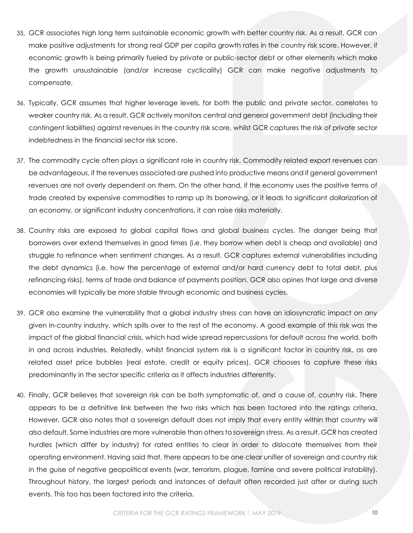- 35. GCR associates high long term sustainable economic growth with better country risk. As a result, GCR can make positive adjustments for strong real GDP per capita growth rates in the country risk score. However, if economic growth is being primarily fueled by private or public-sector debt or other elements which make the growth unsustainable (and/or increase cyclicality) GCR can make negative adjustments to compensate.
- 36. Typically, GCR assumes that higher leverage levels, for both the public and private sector, correlates to weaker country risk. As a result, GCR actively monitors central and general government debt (including their contingent liabilities) against revenues in the country risk score, whilst GCR captures the risk of private sector indebtedness in the financial sector risk score.
- 37. The commodity cycle often plays a significant role in country risk. Commodity related export revenues can be advantageous, if the revenues associated are pushed into productive means and if general government revenues are not overly dependent on them. On the other hand, if the economy uses the positive terms of trade created by expensive commodities to ramp up its borrowing, or it leads to significant dollarization of an economy, or significant industry concentrations, it can raise risks materially.
- 38. Country risks are exposed to global capital flows and global business cycles. The danger being that borrowers over extend themselves in good times (i.e. they borrow when debt is cheap and available) and struggle to refinance when sentiment changes. As a result, GCR captures external vulnerabilities including the debt dynamics (i.e. how the percentage of external and/or hard currency debt to total debt, plus refinancing risks), terms of trade and balance of payments position. GCR also opines that large and diverse economies will typically be more stable through economic and business cycles.
- 39. GCR also examine the vulnerability that a global industry stress can have an idiosyncratic impact on any given in-country industry, which spills over to the rest of the economy. A good example of this risk was the impact of the global financial crisis, which had wide spread repercussions for default across the world, both in and across industries. Relatedly, whilst financial system risk is a significant factor in country risk, as are related asset price bubbles (real estate, credit or equity prices), GCR chooses to capture these risks predominantly in the sector specific criteria as it affects industries differently.
- 40. Finally, GCR believes that sovereign risk can be both symptomatic of, and a cause of, country risk. There appears to be a definitive link between the two risks which has been factored into the ratings criteria. However, GCR also notes that a sovereign default does not imply that every entity within that country will also default. Some industries are more vulnerable than others to sovereign stress. As a result, GCR has created hurdles (which differ by industry) for rated entities to clear in order to dislocate themselves from their operating environment. Having said that, there appears to be one clear unifier of sovereign and country risk in the guise of negative geopolitical events (war, terrorism, plague, famine and severe political instability). Throughout history, the largest periods and instances of default often recorded just after or during such events. This too has been factored into the criteria.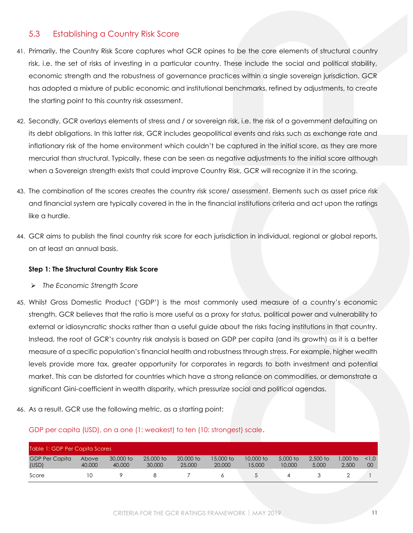### 5.3 Establishing a Country Risk Score

- <span id="page-10-0"></span>41. Primarily, the Country Risk Score captures what GCR opines to be the core elements of structural country risk, i.e. the set of risks of investing in a particular country. These include the social and political stability, economic strength and the robustness of governance practices within a single sovereign jurisdiction. GCR has adopted a mixture of public economic and institutional benchmarks, refined by adjustments, to create the starting point to this country risk assessment.
- 42. Secondly, GCR overlays elements of stress and / or sovereign risk, i.e. the risk of a government defaulting on its debt obligations. In this latter risk, GCR includes geopolitical events and risks such as exchange rate and inflationary risk of the home environment which couldn't be captured in the initial score, as they are more mercurial than structural. Typically, these can be seen as negative adjustments to the initial score although when a Sovereign strength exists that could improve Country Risk, GCR will recognize it in the scoring.
- 43. The combination of the scores creates the country risk score/ assessment. Elements such as asset price risk and financial system are typically covered in the in the financial institutions criteria and act upon the ratings like a hurdle.
- 44. GCR aims to publish the final country risk score for each jurisdiction in individual, regional or global reports, on at least an annual basis.

#### **Step 1: The Structural Country Risk Score**

- ➢ *The Economic Strength Score*
- 45. Whilst Gross Domestic Product ('GDP') is the most commonly used measure of a country's economic strength, GCR believes that the ratio is more useful as a proxy for status, political power and vulnerability to external or idiosyncratic shocks rather than a useful guide about the risks facing institutions in that country. Instead, the root of GCR's country risk analysis is based on GDP per capita (and its growth) as it is a better measure of a specific population's financial health and robustness through stress. For example, higher wealth levels provide more tax, greater opportunity for corporates in regards to both investment and potential market. This can be distorted for countries which have a strong reliance on commodities, or demonstrate a significant Gini-coefficient in wealth disparity, which pressurize social and political agendas.
- 46. As a result, GCR use the following metric, as a starting point:

#### GDP per capita (USD), on a one (1: weakest) to ten (10: strongest) scale.

| Table 1: GDP Per Capita Scores |                        |                     |                     |                     |                     |                     |                    |                     |                    |               |
|--------------------------------|------------------------|---------------------|---------------------|---------------------|---------------------|---------------------|--------------------|---------------------|--------------------|---------------|
| <b>GDP Per Capita</b><br>(USD) | <b>Above</b><br>40,000 | 30,000 to<br>40,000 | 25,000 to<br>30,000 | 20,000 to<br>25,000 | 15,000 to<br>20,000 | 10,000 to<br>15,000 | 5,000 to<br>10,000 | $2.500$ to<br>5,000 | $.000$ to<br>2,500 | 1.0<br>$00\,$ |
| Score                          |                        |                     |                     |                     |                     |                     |                    |                     |                    |               |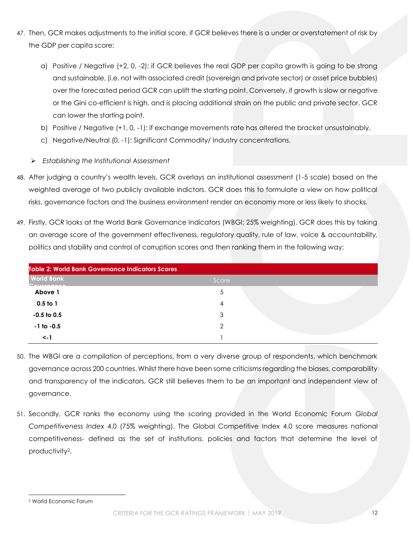- 47. Then, GCR makes adjustments to the initial score, if GCR believes there is a under or overstatement of risk by the GDP per capita score:
	- a) Positive / Negative (+2, 0, -2): if GCR believes the real GDP per capita growth is going to be strong and sustainable, (i.e. not with associated credit (sovereign and private sector) or asset price bubbles) over the forecasted period GCR can uplift the starting point. Conversely, if growth is slow or negative or the Gini co-efficient is high, and is placing additional strain on the public and private sector, GCR can lower the starting point.
	- b) Positive / Negative (+1, 0, -1): if exchange movements rate has altered the bracket unsustainably.
	- c) Negative/Neutral (0, -1): Significant Commodity/ Industry concentrations.
	- ➢ *Establishing the Institutional Assessment*
- <span id="page-11-0"></span>48. After judging a country's wealth levels, GCR overlays an institutional assessment (1-5 scale) based on the weighted average of two publicly available indictors. GCR does this to formulate a view on how political risks, governance factors and the business environment render an economy more or less likely to shocks.
- 49. Firstly, GCR looks at the World Bank Governance Indicators (WBGI; 25% weighting). GCR does this by taking an average score of the government effectiveness, regulatory quality, rule of law, voice & accountability, politics and stability and control of corruption scores and then ranking them in the following way:

| <b>Table 2: World Bank Governance Indicators Scores</b> |       |  |  |  |  |  |  |
|---------------------------------------------------------|-------|--|--|--|--|--|--|
| <b>World Bank</b><br>Covernance                         | Score |  |  |  |  |  |  |
| Above 1                                                 | 5     |  |  |  |  |  |  |
| $0.5$ to 1                                              |       |  |  |  |  |  |  |
| $-0.5$ to 0.5                                           | 3     |  |  |  |  |  |  |
| $-1$ to $-0.5$                                          | っ     |  |  |  |  |  |  |
| $\leq -1$                                               |       |  |  |  |  |  |  |

- 50. The WBGI are a compilation of perceptions, from a very diverse group of respondents, which benchmark governance across 200 countries. Whilst there have been some criticisms regarding the biases, comparability and transparency of the indicators, GCR still believes them to be an important and independent view of governance.
- 51. Secondly, GCR ranks the economy using the scoring provided in the World Economic Forum *Global Competitiveness Index* 4.0 (75% weighting). The Global Competitive Index 4.0 score measures national competitiveness- defined as the set of institutions, policies and factors that determine the level of productivity2.

l

<sup>2</sup> World Economic Forum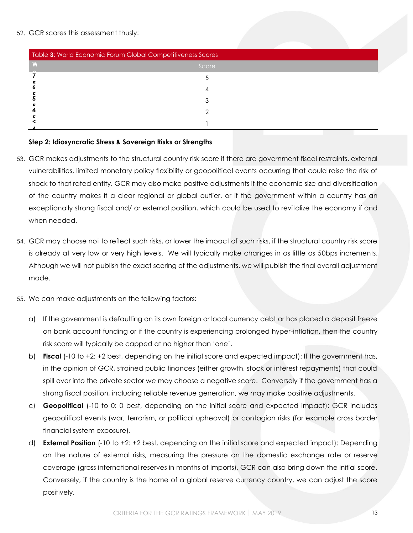#### 52. GCR scores this assessment thusly:

| Table 3: World Economic Forum Global Competitiveness Scores |       |  |
|-------------------------------------------------------------|-------|--|
|                                                             | Score |  |
|                                                             |       |  |
|                                                             |       |  |
|                                                             |       |  |
|                                                             |       |  |
|                                                             |       |  |
|                                                             |       |  |

#### **m i 5 5 Step 2: Idiosyncratic Stress & Sovereign Risks or Strengths**

- $\overline{a}$ **F** 53. GCR makes adjustments to the structural country risk score if there are government fiscal restraints, external **o r** vulnerabilities, limited monetary policy flexibility or geopolitical events occurring that could raise the risk of **u** shock to that rated entity. GCR may also make positive adjustments if the economic size and diversification **m :**  of the country makes it a clear regional or global outlier, or if the government within a country has an  $\mathbf{v}$ **l** exceptionally strong fiscal and/ or external position, which could be used to revitalize the economy if and **o** when needed.
- 54. GCR may choose not to reflect such risks, or lower the impact of such risks, if the structural country risk score **C o** is already at very low or very high levels. We will typically make changes in as little as 50bps increments. **m** Although we will not publish the exact scoring of the adjustments, we will publish the final overall adjustment **e** made.
- **i t** 55. We can make adjustments on the following factors:
	- **v** a) If the government is defaulting on its own foreign or local currency debt or has placed a deposit freeze **e** on bank account funding or if the country is experiencing prolonged hyper-inflation, then the country risk score will typically be capped at no higher than 'one'.
	- $\mathbf{r}$ **R** b) **Fiscal** (-10 to +2: +2 best, depending on the initial score and expected impact): If the government has, in the opinion of GCR, strained public finances (either growth, stock or interest repayments) that could spill over into the private sector we may choose a negative score. Conversely if the government has a strong fiscal position, including reliable revenue generation, we may make positive adjustments.
	- c) **Geopolitical** (-10 to 0: 0 best, depending on the initial score and expected impact): GCR includes geopolitical events (war, terrorism, or political upheaval) or contagion risks (for example cross border financial system exposure).
	- d) **External Position** (-10 to +2: +2 best, depending on the initial score and expected impact): Depending on the nature of external risks, measuring the pressure on the domestic exchange rate or reserve coverage (gross international reserves in months of imports), GCR can also bring down the initial score. Conversely, if the country is the home of a global reserve currency country, we can adjust the score positively.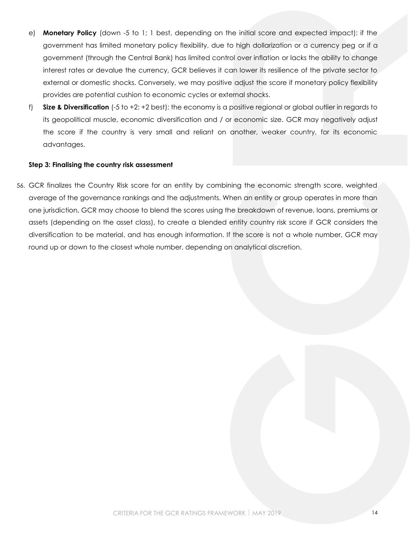- e) **Monetary Policy** (down -5 to 1; 1 best, depending on the initial score and expected impact): if the government has limited monetary policy flexibility, due to high dollarization or a currency peg or if a government (through the Central Bank) has limited control over inflation or lacks the ability to change interest rates or devalue the currency, GCR believes it can lower its resilience of the private sector to external or domestic shocks. Conversely, we may positive adjust the score if monetary policy flexibility provides are potential cushion to economic cycles or external shocks.
- f) **Size & Diversification** (-5 to +2: +2 best): the economy is a positive regional or global outlier in regards to its geopolitical muscle, economic diversification and / or economic size. GCR may negatively adjust the score if the country is very small and reliant on another, weaker country, for its economic advantages.

#### **Step 3: Finalising the country risk assessment**

56. GCR finalizes the Country Risk score for an entity by combining the economic strength score, weighted average of the governance rankings and the adjustments. When an entity or group operates in more than one jurisdiction, GCR may choose to blend the scores using the breakdown of revenue, loans, premiums or assets (depending on the asset class), to create a blended entity country risk score if GCR considers the diversification to be material, and has enough information. If the score is not a whole number, GCR may round up or down to the closest whole number, depending on analytical discretion.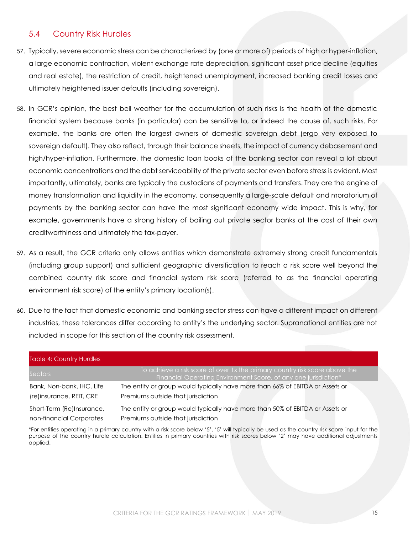## 5.4 Country Risk Hurdles

- <span id="page-14-0"></span>57. Typically, severe economic stress can be characterized by (one or more of) periods of high or hyper-inflation, a large economic contraction, violent exchange rate depreciation, significant asset price decline (equities and real estate), the restriction of credit, heightened unemployment, increased banking credit losses and ultimately heightened issuer defaults (including sovereign).
- 58. In GCR's opinion, the best bell weather for the accumulation of such risks is the health of the domestic financial system because banks (in particular) can be sensitive to, or indeed the cause of, such risks. For example, the banks are often the largest owners of domestic sovereign debt (ergo very exposed to sovereign default). They also reflect, through their balance sheets, the impact of currency debasement and high/hyper-inflation. Furthermore, the domestic loan books of the banking sector can reveal a lot about economic concentrations and the debt serviceability of the private sector even before stress is evident. Most importantly, ultimately, banks are typically the custodians of payments and transfers. They are the engine of money transformation and liquidity in the economy, consequently a large-scale default and moratorium of payments by the banking sector can have the most significant economy wide impact. This is why, for example, governments have a strong history of bailing out private sector banks at the cost of their own creditworthiness and ultimately the tax-payer.
- 59. As a result, the GCR criteria only allows entities which demonstrate extremely strong credit fundamentals (including group support) and sufficient geographic diversification to reach a risk score well beyond the combined country risk score and financial system risk score (referred to as the financial operating environment risk score) of the entity's primary location(s).
- 60. Due to the fact that domestic economic and banking sector stress can have a different impact on different industries, these tolerances differ according to entity's the underlying sector. Supranational entities are not included in scope for this section of the country risk assessment.

| <b>Table 4: Country Hurdles</b> |                                                                                                                                                |
|---------------------------------|------------------------------------------------------------------------------------------------------------------------------------------------|
| Sectors                         | To achieve a risk score of over 1x the primary country risk score above the<br>Financial Operating Environment Score, of any one jurisdiction* |
| Bank, Non-bank, IHC, Life       | The entity or group would typically have more than 66% of EBITDA or Assets or                                                                  |
| (re)insurance, REIT, CRE        | Premiums outside that jurisdiction                                                                                                             |
| Short-Term (Re)Insurance,       | The entity or group would typically have more than 50% of EBITDA or Assets or                                                                  |
| non-financial Corporates        | Premiums outside that jurisdiction                                                                                                             |

\*For entities operating in a primary country with a risk score below '5', '5' will typically be used as the country risk score input for the purpose of the country hurdle calculation. Entities in primary countries with risk scores below '2' may have additional adjustments applied.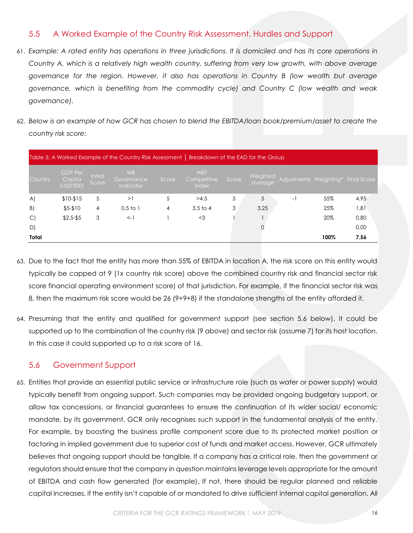## 5.5 A Worked Example of the Country Risk Assessment, Hurdles and Support

- <span id="page-15-0"></span>61. *Example: A rated entity has operations in three jurisdictions. It is domiciled and has its core operations in Country A, which is a relatively high wealth country, suffering from very low growth, with above average governance for the region. However, it also has operations in Country B (low wealth but average governance, which is benefiting from the commodity cycle) and Country C (low wealth and weak governance).*
- 62. *Below is an example of how GCR has chosen to blend the EBITDA/loan book/premium/asset to create the country risk score:*

|              |                                       |                  | Table 5: A Worked Example of the Country Risk Assessment   Breakdown of the EAD for the Group |       |                                           |       |                     |      |      |                                    |
|--------------|---------------------------------------|------------------|-----------------------------------------------------------------------------------------------|-------|-------------------------------------------|-------|---------------------|------|------|------------------------------------|
| Country      | <b>GDP Per</b><br>Capita<br>(USD'000) | Initial<br>Score | <b>WB</b><br>Governance<br>Indicator                                                          | Score | <b>WEF</b><br>Competitive<br><b>Index</b> | Score | Weighted<br>average |      |      | Adjustments Weighting* Final Score |
| $\mathsf{A}$ | $$10-$15$                             | 5                | >1                                                                                            | 5     | >4.5                                      | 5     | 5                   | $-1$ | 55%  | 4.95                               |
| B)           | $$5-$10$                              | 4                | 0.5 <sub>to</sub>                                                                             | 4     | 3.5 <sub>to 4</sub>                       | 3     | 3.25                |      | 25%  | 1.81                               |
| $\mathsf{C}$ | $$2.5 - $5$                           | 3                | $\leftarrow$                                                                                  |       | $<$ 3                                     |       |                     |      | 20%  | 0.80                               |
| D)           |                                       |                  |                                                                                               |       |                                           |       |                     |      |      | 0.00                               |
| Total        |                                       |                  |                                                                                               |       |                                           |       |                     |      | 100% | 7.56                               |

- 63. Due to the fact that the entity has more than 55% of EBITDA in location A, the risk score on this entity would typically be capped at 9 (1x country risk score) above the combined country risk and financial sector risk score financial operating environment score) of that jurisdiction. For example, if the financial sector risk was 8, then the maximum risk score would be 26 (9+9+8) if the standalone strengths of the entity afforded it.
- 64. Presuming that the entity and qualified for government support (see section 5.6 below), it could be supported up to the combination of the country risk (9 above) and sector risk (assume 7) for its host location. In this case it could supported up to a risk score of 16.

# 5.6 Government Support

<span id="page-15-1"></span>65. Entities that provide an essential public service or infrastructure role (such as water or power supply) would typically benefit from ongoing support. Such companies may be provided ongoing budgetary support, or allow tax concessions, or financial guarantees to ensure the continuation of its wider social/ economic mandate, by its government. GCR only recognises such support in the fundamental analysis of the entity. For example, by boosting the business profile component score due to its protected market position or factoring in implied government due to superior cost of funds and market access. However, GCR ultimately believes that ongoing support should be tangible. If a company has a critical role, then the government or regulators should ensure that the company in question maintains leverage levels appropriate for the amount of EBITDA and cash flow generated (for example). If not, there should be regular planned and reliable capital increases, if the entity isn't capable of or mandated to drive sufficient internal capital generation. All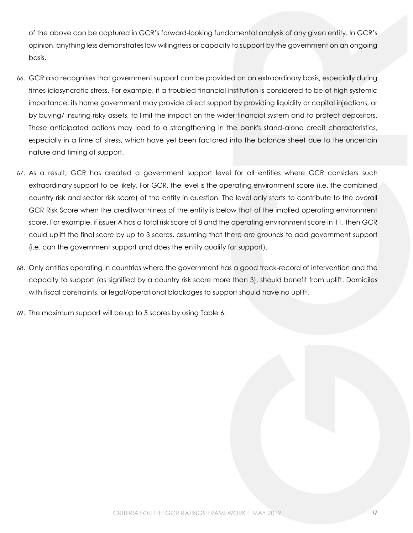of the above can be captured in GCR's forward-looking fundamental analysis of any given entity. In GCR's opinion, anything less demonstrates low willingness or capacity to support by the government on an ongoing basis.

- 66. GCR also recognises that government support can be provided on an extraordinary basis, especially during times idiosyncratic stress. For example, if a troubled financial institution is considered to be of high systemic importance, its home government may provide direct support by providing liquidity or capital injections, or by buying/ insuring risky assets, to limit the impact on the wider financial system and to protect depositors. These anticipated actions may lead to a strengthening in the bank's stand-alone credit characteristics, especially in a time of stress, which have yet been factored into the balance sheet due to the uncertain nature and timing of support.
- 67. As a result, GCR has created a government support level for all entities where GCR considers such extraordinary support to be likely. For GCR, the level is the operating environment score (i.e. the combined country risk and sector risk score) of the entity in question. The level only starts to contribute to the overall GCR Risk Score when the creditworthiness of the entity is below that of the implied operating environment score. For example, if issuer A has a total risk score of 8 and the operating environment score in 11, then GCR could uplift the final score by up to 3 scores, assuming that there are grounds to add government support (i.e. can the government support and does the entity qualify for support).
- 68. Only entities operating in countries where the government has a good track-record of intervention and the capacity to support (as signified by a country risk score more than 3), should benefit from uplift. Domiciles with fiscal constraints, or legal/operational blockages to support should have no uplift.
- 69. The maximum support will be up to 5 scores by using [Table 6:](#page-17-0)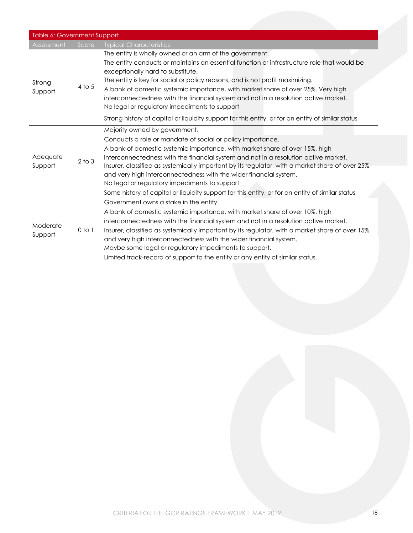<span id="page-17-0"></span>

| Table 6: Government Support |            |                                                                                                                                                                                                                                                                                                                                                                                                                                                                                                                                                                                                |
|-----------------------------|------------|------------------------------------------------------------------------------------------------------------------------------------------------------------------------------------------------------------------------------------------------------------------------------------------------------------------------------------------------------------------------------------------------------------------------------------------------------------------------------------------------------------------------------------------------------------------------------------------------|
| Assessment                  | Score      | <b>Typical Characteristics</b>                                                                                                                                                                                                                                                                                                                                                                                                                                                                                                                                                                 |
| Strong<br>Support           | 4 to 5     | The entity is wholly owned or an arm of the government.<br>The entity conducts or maintains an essential function or infrastructure role that would be<br>exceptionally hard to substitute.<br>The entity is key for social or policy reasons, and is not profit maximizing.<br>A bank of domestic systemic importance, with market share of over 25%, Very high<br>interconnectedness with the financial system and not in a resolution active market.<br>No legal or regulatory impediments to support                                                                                       |
|                             |            | Strong history of capital or liquidity support for this entity, or for an entity of similar status                                                                                                                                                                                                                                                                                                                                                                                                                                                                                             |
| Adequate<br>Support         | $2$ to $3$ | Majority owned by government.<br>Conducts a role or mandate of social or policy importance.<br>A bank of domestic systemic importance, with market share of over 15%, high<br>interconnectedness with the financial system and not in a resolution active market.<br>Insurer, classified as systemically important by its regulator, with a market share of over 25%<br>and very high interconnectedness with the wider financial system.<br>No legal or regulatory impediments to support<br>Some history of capital or liquidity support for this entity, or for an entity of similar status |
| Moderate<br>Support         | $0$ to $1$ | Government owns a stake in the entity.<br>A bank of domestic systemic importance, with market share of over 10%, high<br>interconnectedness with the financial system and not in a resolution active market.<br>Insurer, classified as systemically important by its regulator, with a market share of over 15%<br>and very high interconnectedness with the wider financial system.<br>Maybe some legal or regulatory impediments to support.<br>Limited track-record of support to the entity or any entity of similar status.                                                               |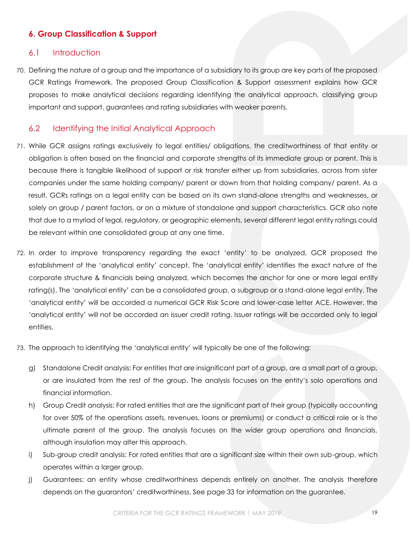### <span id="page-18-3"></span>**6. Group Classification & Support**

#### <span id="page-18-0"></span>6.1 Introduction

<span id="page-18-1"></span>70. Defining the nature of a group and the importance of a subsidiary to its group are key parts of the proposed GCR Ratings Framework. The proposed Group Classification & Support assessment explains how GCR proposes to make analytical decisions regarding identifying the analytical approach, classifying group important and support, guarantees and rating subsidiaries with weaker parents.

### 6.2 Identifying the Initial Analytical Approach

- <span id="page-18-2"></span>71. While GCR assigns ratings exclusively to legal entities/ obligations, the creditworthiness of that entity or obligation is often based on the financial and corporate strengths of its immediate group or parent. This is because there is tangible likelihood of support or risk transfer either up from subsidiaries, across from sister companies under the same holding company/ parent or down from that holding company/ parent. As a result, GCRs ratings on a legal entity can be based on its own stand-alone strengths and weaknesses, or solely on group / parent factors, or on a mixture of standalone and support characteristics. GCR also note that due to a myriad of legal, regulatory, or geographic elements, several different legal entity ratings could be relevant within one consolidated group at any one time.
- 72. In order to improve transparency regarding the exact 'entity' to be analyzed, GCR proposed the establishment of the 'analytical entity' concept. The 'analytical entity' identifies the exact nature of the corporate structure & financials being analyzed, which becomes the anchor for one or more legal entity rating(s). The 'analytical entity' can be a consolidated group, a subgroup or a stand-alone legal entity. The 'analytical entity' will be accorded a numerical GCR Risk Score and lower-case letter ACE. However, the 'analytical entity' will not be accorded an issuer credit rating. Issuer ratings will be accorded only to legal entities.
- 73. The approach to identifying the 'analytical entity' will typically be one of the following:
	- g) Standalone Credit analysis: For entities that are insignificant part of a group, are a small part of a group, or are insulated from the rest of the group. The analysis focuses on the entity's solo operations and financial information.
	- h) Group Credit analysis: For rated entities that are the significant part of their group (typically accounting for over 50% of the operations assets, revenues, loans or premiums) or conduct a critical role or is the ultimate parent of the group. The analysis focuses on the wider group operations and financials, although insulation may alter this approach.
	- i) Sub-group credit analysis: For rated entities that are a significant size within their own sub-group, which operates within a larger group.
	- j) Guarantees: an entity whose creditworthiness depends entirely on another. The analysis therefore depends on the guarantors' creditworthiness. See page 33 for information on the guarantee.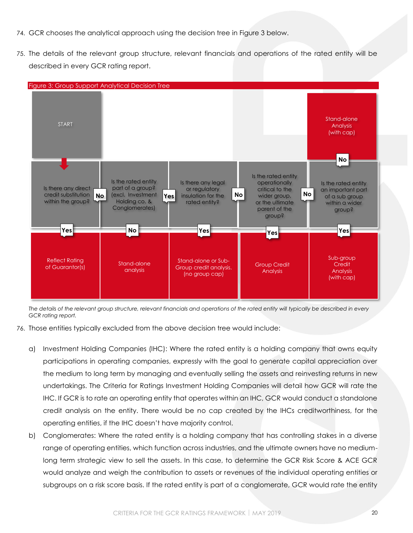- 74. GCR chooses the analytical approach using the decision tree in [Figure 3](#page-19-0) below.
- 75. The details of the relevant group structure, relevant financials and operations of the rated entity will be described in every GCR rating report.

<span id="page-19-0"></span>

*The details of the relevant group structure, relevant financials and operations of the rated entity will typically be described in every GCR rating report.*

- 76. Those entities typically excluded from the above decision tree would include:
	- a) Investment Holding Companies (IHC): Where the rated entity is a holding company that owns equity participations in operating companies, expressly with the goal to generate capital appreciation over the medium to long term by managing and eventually selling the assets and reinvesting returns in new undertakings. The Criteria for Ratings Investment Holding Companies will detail how GCR will rate the IHC. If GCR is to rate an operating entity that operates within an IHC, GCR would conduct a standalone credit analysis on the entity. There would be no cap created by the IHCs creditworthiness, for the operating entities, if the IHC doesn't have majority control.
	- b) Conglomerates: Where the rated entity is a holding company that has controlling stakes in a diverse range of operating entities, which function across industries, and the ultimate owners have no mediumlong term strategic view to sell the assets. In this case, to determine the GCR Risk Score & ACE GCR would analyze and weigh the contribution to assets or revenues of the individual operating entities or subgroups on a risk score basis. If the rated entity is part of a conglomerate, GCR would rate the entity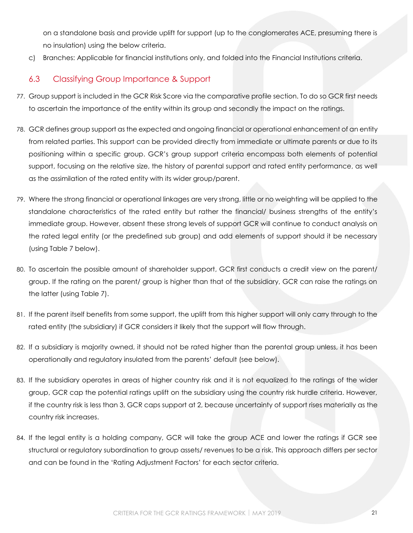on a standalone basis and provide uplift for support (up to the conglomerates ACE, presuming there is no insulation) using the below criteria.

c) Branches: Applicable for financial institutions only, and folded into the Financial Institutions criteria.

# 6.3 Classifying Group Importance & Support

- <span id="page-20-0"></span>77. Group support is included in the GCR Risk Score via the comparative profile section. To do so GCR first needs to ascertain the importance of the entity within its group and secondly the impact on the ratings.
- 78. GCR defines group support as the expected and ongoing financial or operational enhancement of an entity from related parties. This support can be provided directly from immediate or ultimate parents or due to its positioning within a specific group. GCR's group support criteria encompass both elements of potential support, focusing on the relative size, the history of parental support and rated entity performance, as well as the assimilation of the rated entity with its wider group/parent.
- 79. Where the strong financial or operational linkages are very strong, little or no weighting will be applied to the standalone characteristics of the rated entity but rather the financial/ business strengths of the entity's immediate group. However, absent these strong levels of support GCR will continue to conduct analysis on the rated legal entity (or the predefined sub group) and add elements of support should it be necessary (using [Table 7](#page-21-0) below).
- 80. To ascertain the possible amount of shareholder support, GCR first conducts a credit view on the parent/ group. If the rating on the parent/ group is higher than that of the subsidiary, GCR can raise the ratings on the latter (using [Table 7\)](#page-21-0).
- 81. If the parent itself benefits from some support, the uplift from this higher support will only carry through to the rated entity (the subsidiary) if GCR considers it likely that the support will flow through.
- 82. If a subsidiary is majority owned, it should not be rated higher than the parental group unless, it has been operationally and regulatory insulated from the parents' default (see below).
- 83. If the subsidiary operates in areas of higher country risk and it is not equalized to the ratings of the wider group, GCR cap the potential ratings uplift on the subsidiary using the country risk hurdle criteria. However, if the country risk is less than 3, GCR caps support at 2, because uncertainty of support rises materially as the country risk increases.
- 84. If the legal entity is a holding company, GCR will take the group ACE and lower the ratings if GCR see structural or regulatory subordination to group assets/ revenues to be a risk. This approach differs per sector and can be found in the 'Rating Adjustment Factors' for each sector criteria.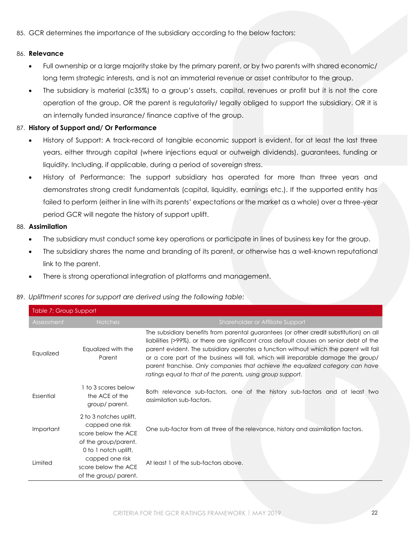85. GCR determines the importance of the subsidiary according to the below factors:

#### 86. **Relevance**

- Full ownership or a large majority stake by the primary parent, or by two parents with shared economic/ long term strategic interests, and is not an immaterial revenue or asset contributor to the group.
- The subsidiary is material (c35%) to a group's assets, capital, revenues or profit but it is not the core operation of the group. OR the parent is regulatorily/ legally obliged to support the subsidiary. OR it is an internally funded insurance/ finance captive of the group.

#### 87. **History of Support and/ Or Performance**

- History of Support: A track-record of tangible economic support is evident, for at least the last three years, either through capital (where injections equal or outweigh dividends), guarantees, funding or liquidity. Including, if applicable, during a period of sovereign stress.
- History of Performance: The support subsidiary has operated for more than three years and demonstrates strong credit fundamentals (capital, liquidity, earnings etc.). If the supported entity has failed to perform (either in line with its parents' expectations or the market as a whole) over a three-year period GCR will negate the history of support uplift.

#### 88. **Assimilation**

- The subsidiary must conduct some key operations or participate in lines of business key for the group.
- The subsidiary shares the name and branding of its parent, or otherwise has a well-known reputational link to the parent.
- There is strong operational integration of platforms and management.

#### 89. *Upliftment scores for support are derived using the following table:*

<span id="page-21-0"></span>

| Table 7: Group Support |                                                                                          |                                                                                                                                                                                                                                                                                                                                                                                                                                                                                                                  |
|------------------------|------------------------------------------------------------------------------------------|------------------------------------------------------------------------------------------------------------------------------------------------------------------------------------------------------------------------------------------------------------------------------------------------------------------------------------------------------------------------------------------------------------------------------------------------------------------------------------------------------------------|
| Assessment             | <b>Notches</b>                                                                           | Shareholder or Affiliate Support                                                                                                                                                                                                                                                                                                                                                                                                                                                                                 |
| Equalized              | Equalized with the<br>Parent                                                             | The subsidiary benefits from parental guarantees (or other credit substitution) on all<br>liabilities (>99%), or there are significant cross default clauses on senior debt of the<br>parent evident. The subsidiary operates a function without which the parent will fail<br>or a core part of the business will fail, which will irreparable damage the group/<br>parent franchise. Only companies that achieve the equalized category can have<br>ratings equal to that of the parents, using group support. |
| Essential              | 1 to 3 scores below<br>the ACE of the<br>group/parent.                                   | Both relevance sub-factors, one of the history sub-factors and at least two<br>assimilation sub-factors.                                                                                                                                                                                                                                                                                                                                                                                                         |
| Important              | 2 to 3 notches uplift,<br>capped one risk<br>score below the ACE<br>of the group/parent. | One sub-factor from all three of the relevance, history and assimilation factors.                                                                                                                                                                                                                                                                                                                                                                                                                                |
| Limited                | 0 to 1 notch uplift,<br>capped one risk<br>score below the ACE<br>of the group/ parent.  | At least 1 of the sub-factors above.                                                                                                                                                                                                                                                                                                                                                                                                                                                                             |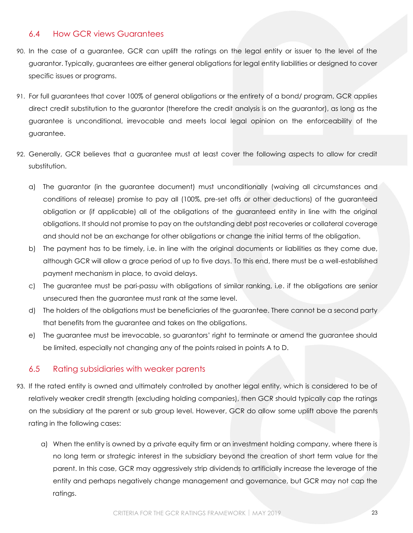#### 6.4 How GCR views Guarantees

- <span id="page-22-0"></span>90. In the case of a guarantee, GCR can uplift the ratings on the legal entity or issuer to the level of the guarantor. Typically, guarantees are either general obligations for legal entity liabilities or designed to cover specific issues or programs.
- 91. For full guarantees that cover 100% of general obligations or the entirety of a bond/ program, GCR applies direct credit substitution to the guarantor (therefore the credit analysis is on the guarantor), as long as the guarantee is unconditional, irrevocable and meets local legal opinion on the enforceability of the guarantee.
- 92. Generally, GCR believes that a guarantee must at least cover the following aspects to allow for credit substitution.
	- a) The guarantor (in the guarantee document) must unconditionally (waiving all circumstances and conditions of release) promise to pay all (100%, pre-set offs or other deductions) of the guaranteed obligation or (if applicable) all of the obligations of the guaranteed entity in line with the original obligations. It should not promise to pay on the outstanding debt post recoveries or collateral coverage and should not be an exchange for other obligations or change the initial terms of the obligation.
	- b) The payment has to be timely, i.e. in line with the original documents or liabilities as they come due, although GCR will allow a grace period of up to five days. To this end, there must be a well-established payment mechanism in place, to avoid delays.
	- c) The guarantee must be pari-passu with obligations of similar ranking, i.e. if the obligations are senior unsecured then the guarantee must rank at the same level.
	- d) The holders of the obligations must be beneficiaries of the guarantee. There cannot be a second party that benefits from the guarantee and takes on the obligations.
	- e) The guarantee must be irrevocable, so guarantors' right to terminate or amend the guarantee should be limited, especially not changing any of the points raised in points A to D.

### 6.5 Rating subsidiaries with weaker parents

- <span id="page-22-1"></span>93. If the rated entity is owned and ultimately controlled by another legal entity, which is considered to be of relatively weaker credit strength (excluding holding companies), then GCR should typically cap the ratings on the subsidiary at the parent or sub group level. However, GCR do allow some uplift above the parents rating in the following cases:
	- a) When the entity is owned by a private equity firm or an investment holding company, where there is no long term or strategic interest in the subsidiary beyond the creation of short term value for the parent. In this case, GCR may aggressively strip dividends to artificially increase the leverage of the entity and perhaps negatively change management and governance, but GCR may not cap the ratings.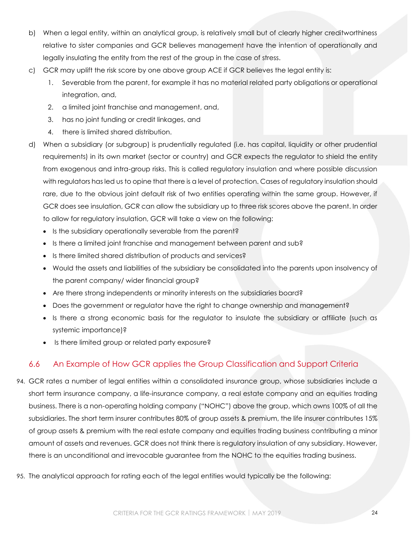- b) When a legal entity, within an analytical group, is relatively small but of clearly higher creditworthiness relative to sister companies and GCR believes management have the intention of operationally and legally insulating the entity from the rest of the group in the case of stress.
- c) GCR may uplift the risk score by one above group ACE if GCR believes the legal entity is:
	- 1. Severable from the parent, for example it has no material related party obligations or operational integration, and,
	- 2. a limited joint franchise and management, and,
	- 3. has no joint funding or credit linkages, and
	- 4. there is limited shared distribution.
- d) When a subsidiary (or subgroup) is prudentially regulated (i.e. has capital, liquidity or other prudential requirements) in its own market (sector or country) and GCR expects the regulator to shield the entity from exogenous and intra-group risks. This is called regulatory insulation and where possible discussion with regulators has led us to opine that there is a level of protection. Cases of regulatory insulation should rare, due to the obvious joint default risk of two entities operating within the same group. However, if GCR does see insulation, GCR can allow the subsidiary up to three risk scores above the parent. In order to allow for regulatory insulation, GCR will take a view on the following:
	- Is the subsidiary operationally severable from the parent?
	- Is there a limited joint franchise and management between parent and sub?
	- Is there limited shared distribution of products and services?
	- Would the assets and liabilities of the subsidiary be consolidated into the parents upon insolvency of the parent company/ wider financial group?
	- Are there strong independents or minority interests on the subsidiaries board?
	- Does the government or regulator have the right to change ownership and management?
	- Is there a strong economic basis for the regulator to insulate the subsidiary or affiliate (such as systemic importance)?
	- Is there limited group or related party exposure?

# 6.6 An Example of How GCR applies the Group Classification and Support Criteria

- <span id="page-23-0"></span>94. GCR rates a number of legal entities within a consolidated insurance group, whose subsidiaries include a short term insurance company, a life-insurance company, a real estate company and an equities trading business. There is a non-operating holding company ("NOHC") above the group, which owns 100% of all the subsidiaries. The short term insurer contributes 80% of group assets & premium, the life insurer contributes 15% of group assets & premium with the real estate company and equities trading business contributing a minor amount of assets and revenues. GCR does not think there is regulatory insulation of any subsidiary. However, there is an unconditional and irrevocable guarantee from the NOHC to the equities trading business.
- 95. The analytical approach for rating each of the legal entities would typically be the following: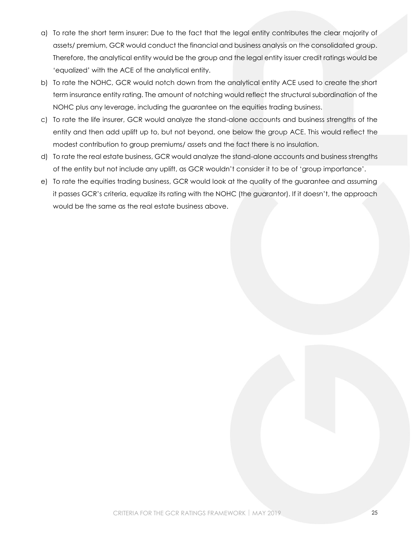- a) To rate the short term insurer: Due to the fact that the legal entity contributes the clear majority of assets/ premium, GCR would conduct the financial and business analysis on the consolidated group. Therefore, the analytical entity would be the group and the legal entity issuer credit ratings would be 'equalized' with the ACE of the analytical entity.
- b) To rate the NOHC, GCR would notch down from the analytical entity ACE used to create the short term insurance entity rating. The amount of notching would reflect the structural subordination of the NOHC plus any leverage, including the guarantee on the equities trading business.
- c) To rate the life insurer, GCR would analyze the stand-alone accounts and business strengths of the entity and then add uplift up to, but not beyond, one below the group ACE. This would reflect the modest contribution to group premiums/ assets and the fact there is no insulation.
- d) To rate the real estate business, GCR would analyze the stand-alone accounts and business strengths of the entity but not include any uplift, as GCR wouldn't consider it to be of 'group importance'.
- e) To rate the equities trading business, GCR would look at the quality of the guarantee and assuming it passes GCR's criteria, equalize its rating with the NOHC (the guarantor). If it doesn't, the approach would be the same as the real estate business above.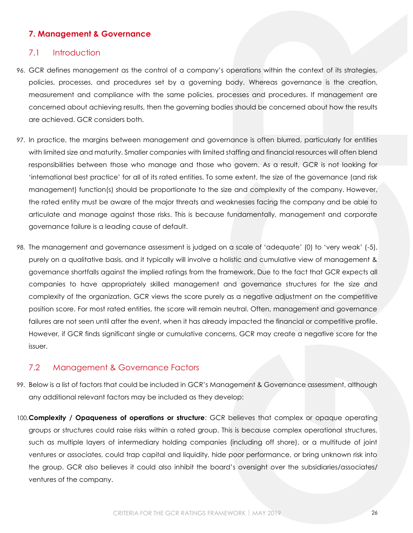#### **7. Management & Governance**

#### <span id="page-25-0"></span>7.1 Introduction

- <span id="page-25-1"></span>96. GCR defines management as the control of a company's operations within the context of its strategies, policies, processes, and procedures set by a governing body. Whereas governance is the creation, measurement and compliance with the same policies, processes and procedures. If management are concerned about achieving results, then the governing bodies should be concerned about how the results are achieved. GCR considers both.
- 97. In practice, the margins between management and governance is often blurred, particularly for entities with limited size and maturity. Smaller companies with limited staffing and financial resources will often blend responsibilities between those who manage and those who govern. As a result, GCR is not looking for 'international best practice' for all of its rated entities. To some extent, the size of the governance (and risk management) function(s) should be proportionate to the size and complexity of the company. However, the rated entity must be aware of the major threats and weaknesses facing the company and be able to articulate and manage against those risks. This is because fundamentally, management and corporate governance failure is a leading cause of default.
- 98. The management and governance assessment is judged on a scale of 'adequate' (0) to 'very weak' (-5), purely on a qualitative basis, and it typically will involve a holistic and cumulative view of management & governance shortfalls against the implied ratings from the framework. Due to the fact that GCR expects all companies to have appropriately skilled management and governance structures for the size and complexity of the organization, GCR views the score purely as a negative adjustment on the competitive position score. For most rated entities, the score will remain neutral. Often, management and governance failures are not seen until after the event, when it has already impacted the financial or competitive profile. However, if GCR finds significant single or cumulative concerns, GCR may create a negative score for the issuer.

#### 7.2 Management & Governance Factors

- <span id="page-25-2"></span>99. Below is a list of factors that could be included in GCR's Management & Governance assessment, although any additional relevant factors may be included as they develop:
- 100.**Complexity / Opaqueness of operations or structure**: GCR believes that complex or opaque operating groups or structures could raise risks within a rated group. This is because complex operational structures, such as multiple layers of intermediary holding companies (including off shore), or a multitude of joint ventures or associates, could trap capital and liquidity, hide poor performance, or bring unknown risk into the group. GCR also believes it could also inhibit the board's oversight over the subsidiaries/associates/ ventures of the company.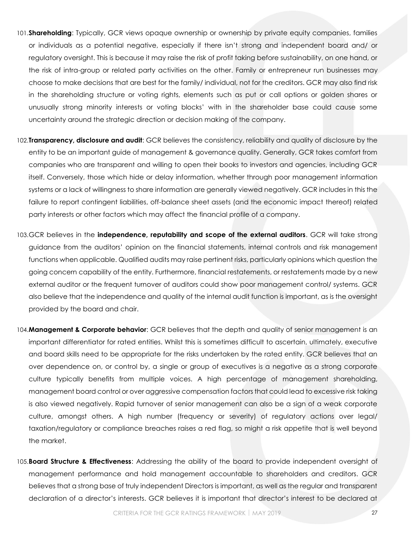- 101.**Shareholding**: Typically, GCR views opaque ownership or ownership by private equity companies, families or individuals as a potential negative, especially if there isn't strong and independent board and/ or regulatory oversight. This is because it may raise the risk of profit taking before sustainability, on one hand, or the risk of intra-group or related party activities on the other. Family or entrepreneur run businesses may choose to make decisions that are best for the family/ individual, not for the creditors. GCR may also find risk in the shareholding structure or voting rights, elements such as put or call options or golden shares or unusually strong minority interests or voting blocks' with in the shareholder base could cause some uncertainty around the strategic direction or decision making of the company.
- 102.**Transparency, disclosure and audit**: GCR believes the consistency, reliability and quality of disclosure by the entity to be an important guide of management & governance quality. Generally, GCR takes comfort from companies who are transparent and willing to open their books to investors and agencies, including GCR itself. Conversely, those which hide or delay information, whether through poor management information systems or a lack of willingness to share information are generally viewed negatively. GCR includes in this the failure to report contingent liabilities, off-balance sheet assets (and the economic impact thereof) related party interests or other factors which may affect the financial profile of a company.
- 103.GCR believes in the **independence, reputability and scope of the external auditors**. GCR will take strong guidance from the auditors' opinion on the financial statements, internal controls and risk management functions when applicable. Qualified audits may raise pertinent risks, particularly opinions which question the going concern capability of the entity. Furthermore, financial restatements, or restatements made by a new external auditor or the frequent turnover of auditors could show poor management control/ systems. GCR also believe that the independence and quality of the internal audit function is important, as is the oversight provided by the board and chair.
- 104.**Management & Corporate behavior**: GCR believes that the depth and quality of senior management is an important differentiator for rated entities. Whilst this is sometimes difficult to ascertain, ultimately, executive and board skills need to be appropriate for the risks undertaken by the rated entity. GCR believes that an over dependence on, or control by, a single or group of executives is a negative as a strong corporate culture typically benefits from multiple voices. A high percentage of management shareholding, management board control or over aggressive compensation factors that could lead to excessive risk taking is also viewed negatively. Rapid turnover of senior management can also be a sign of a weak corporate culture, amongst others. A high number (frequency or severity) of regulatory actions over legal/ taxation/regulatory or compliance breaches raises a red flag, so might a risk appetite that is well beyond the market.
- 105.**Board Structure & Effectiveness**: Addressing the ability of the board to provide independent oversight of management performance and hold management accountable to shareholders and creditors. GCR believes that a strong base of truly independent Directors is important, as well as the regular and transparent declaration of a director's interests. GCR believes it is important that director's interest to be declared at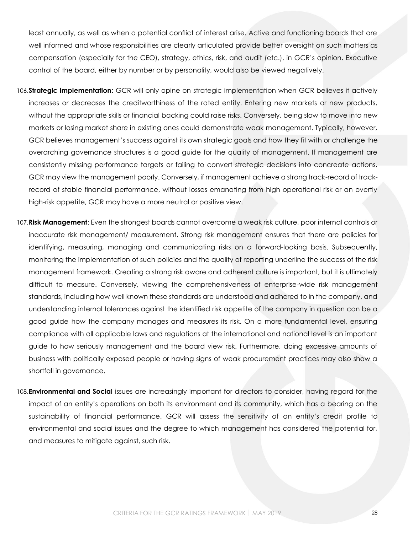least annually, as well as when a potential conflict of interest arise. Active and functioning boards that are well informed and whose responsibilities are clearly articulated provide better oversight on such matters as compensation (especially for the CEO), strategy, ethics, risk, and audit (etc.), in GCR's opinion. Executive control of the board, either by number or by personality, would also be viewed negatively.

- 106.**Strategic implementation**: GCR will only opine on strategic implementation when GCR believes it actively increases or decreases the creditworthiness of the rated entity. Entering new markets or new products, without the appropriate skills or financial backing could raise risks. Conversely, being slow to move into new markets or losing market share in existing ones could demonstrate weak management. Typically, however, GCR believes management's success against its own strategic goals and how they fit with or challenge the overarching governance structures is a good guide for the quality of management. If management are consistently missing performance targets or failing to convert strategic decisions into concreate actions, GCR may view the management poorly. Conversely, if management achieve a strong track-record of trackrecord of stable financial performance, without losses emanating from high operational risk or an overtly high-risk appetite, GCR may have a more neutral or positive view.
- 107.**Risk Management**: Even the strongest boards cannot overcome a weak risk culture, poor internal controls or inaccurate risk management/ measurement. Strong risk management ensures that there are policies for identifying, measuring, managing and communicating risks on a forward-looking basis. Subsequently, monitoring the implementation of such policies and the quality of reporting underline the success of the risk management framework. Creating a strong risk aware and adherent culture is important, but it is ultimately difficult to measure. Conversely, viewing the comprehensiveness of enterprise-wide risk management standards, including how well known these standards are understood and adhered to in the company, and understanding internal tolerances against the identified risk appetite of the company in question can be a good guide how the company manages and measures its risk. On a more fundamental level, ensuring compliance with all applicable laws and regulations at the international and national level is an important guide to how seriously management and the board view risk. Furthermore, doing excessive amounts of business with politically exposed people or having signs of weak procurement practices may also show a shortfall in governance.
- 108.**Environmental and Social** issues are increasingly important for directors to consider, having regard for the impact of an entity's operations on both its environment and its community, which has a bearing on the sustainability of financial performance. GCR will assess the sensitivity of an entity's credit profile to environmental and social issues and the degree to which management has considered the potential for, and measures to mitigate against, such risk.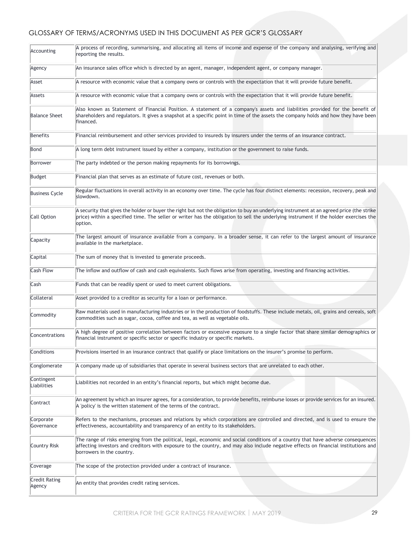### GLOSSARY OF TERMS/ACRONYMS USED IN THIS DOCUMENT AS PER GCR'S GLOSSARY

| Accounting                | A process of recording, summarising, and allocating all items of income and expense of the company and analysing, verifying and<br>reporting the results.                                                                                                                                             |
|---------------------------|-------------------------------------------------------------------------------------------------------------------------------------------------------------------------------------------------------------------------------------------------------------------------------------------------------|
| Agency                    | An insurance sales office which is directed by an agent, manager, independent agent, or company manager.                                                                                                                                                                                              |
| Asset                     | A resource with economic value that a company owns or controls with the expectation that it will provide future benefit.                                                                                                                                                                              |
| Assets                    | A resource with economic value that a company owns or controls with the expectation that it will provide future benefit.                                                                                                                                                                              |
| <b>Balance Sheet</b>      | Also known as Statement of Financial Position. A statement of a company's assets and liabilities provided for the benefit of<br>shareholders and regulators. It gives a snapshot at a specific point in time of the assets the company holds and how they have been<br>financed.                      |
| Benefits                  | Financial reimbursement and other services provided to insureds by insurers under the terms of an insurance contract.                                                                                                                                                                                 |
| Bond                      | A long term debt instrument issued by either a company, institution or the government to raise funds.                                                                                                                                                                                                 |
| Borrower                  | The party indebted or the person making repayments for its borrowings.                                                                                                                                                                                                                                |
| Budget                    | Financial plan that serves as an estimate of future cost, revenues or both.                                                                                                                                                                                                                           |
| <b>Business Cycle</b>     | Regular fluctuations in overall activity in an economy over time. The cycle has four distinct elements: recession, recovery, peak and<br>slowdown.                                                                                                                                                    |
| Call Option               | A security that gives the holder or buyer the right but not the obligation to buy an underlying instrument at an agreed price (the strike<br>price) within a specified time. The seller or writer has the obligation to sell the underlying instrument if the holder exercises the<br>option.         |
| Capacity                  | The largest amount of insurance available from a company. In a broader sense, it can refer to the largest amount of insurance<br>available in the marketplace.                                                                                                                                        |
| Capital                   | The sum of money that is invested to generate proceeds.                                                                                                                                                                                                                                               |
| <b>Cash Flow</b>          | The inflow and outflow of cash and cash equivalents. Such flows arise from operating, investing and financing activities.                                                                                                                                                                             |
| Cash                      | Funds that can be readily spent or used to meet current obligations.                                                                                                                                                                                                                                  |
| Collateral                | Asset provided to a creditor as security for a loan or performance.                                                                                                                                                                                                                                   |
| Commodity                 | Raw materials used in manufacturing industries or in the production of foodstuffs. These include metals, oil, grains and cereals, soft<br>commodities such as sugar, cocoa, coffee and tea, as well as vegetable oils.                                                                                |
| Concentrations            | A high degree of positive correlation between factors or excessive exposure to a single factor that share similar demographics or<br>financial instrument or specific sector or specific industry or specific markets.                                                                                |
| Conditions                | Provisions inserted in an insurance contract that qualify or place limitations on the insurer's promise to perform.                                                                                                                                                                                   |
| Conglomerate              | A company made up of subsidiaries that operate in several business sectors that are unrelated to each other.                                                                                                                                                                                          |
| Contingent<br>Liabilities | Liabilities not recorded in an entity's financial reports, but which might become due.                                                                                                                                                                                                                |
| Contract                  | An agreement by which an insurer agrees, for a consideration, to provide benefits, reimburse losses or provide services for an insured.<br>A 'policy' is the written statement of the terms of the contract.                                                                                          |
| Corporate<br>Governance   | Refers to the mechanisms, processes and relations by which corporations are controlled and directed, and is used to ensure the<br>effectiveness, accountability and transparency of an entity to its stakeholders.                                                                                    |
| Country Risk              | The range of risks emerging from the political, legal, economic and social conditions of a country that have adverse consequences<br>affecting investors and creditors with exposure to the country, and may also include negative effects on financial institutions and<br>borrowers in the country. |
| Coverage                  | The scope of the protection provided under a contract of insurance.                                                                                                                                                                                                                                   |
| Credit Rating<br>Agency   | An entity that provides credit rating services.                                                                                                                                                                                                                                                       |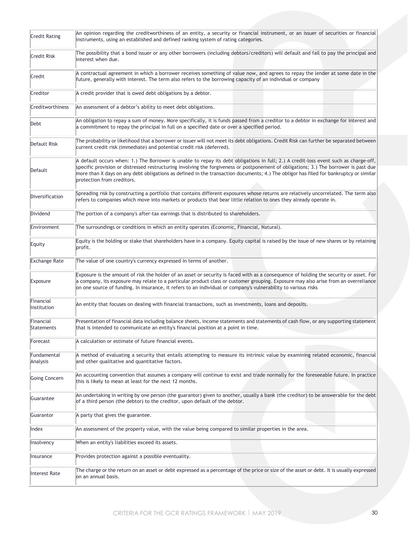| <b>Credit Rating</b>     | An opinion regarding the creditworthiness of an entity, a security or financial instrument, or an issuer of securities or financial<br>instruments, using an established and defined ranking system of rating categories.                                                                                                                                                                                                                            |
|--------------------------|------------------------------------------------------------------------------------------------------------------------------------------------------------------------------------------------------------------------------------------------------------------------------------------------------------------------------------------------------------------------------------------------------------------------------------------------------|
| <b>Credit Risk</b>       | The possibility that a bond issuer or any other borrowers (including debtors/creditors) will default and fail to pay the principal and<br>interest when due.                                                                                                                                                                                                                                                                                         |
| Credit                   | A contractual agreement in which a borrower receives something of value now, and agrees to repay the lender at some date in the<br>future, generally with interest. The term also refers to the borrowing capacity of an individual or company                                                                                                                                                                                                       |
| Creditor                 | A credit provider that is owed debt obligations by a debtor.                                                                                                                                                                                                                                                                                                                                                                                         |
| Creditworthiness         | An assessment of a debtor's ability to meet debt obligations.                                                                                                                                                                                                                                                                                                                                                                                        |
| Debt                     | An obligation to repay a sum of money. More specifically, it is funds passed from a creditor to a debtor in exchange for interest and<br>a commitment to repay the principal in full on a specified date or over a specified period.                                                                                                                                                                                                                 |
| Default Risk             | The probability or likelihood that a borrower or issuer will not meet its debt obligations. Credit Risk can further be separated between<br>current credit risk (immediate) and potential credit risk (deferred).                                                                                                                                                                                                                                    |
| Default                  | A default occurs when: 1.) The Borrower is unable to repay its debt obligations in full; 2.) A credit-loss event such as charge-off,<br>specific provision or distressed restructuring involving the forgiveness or postponement of obligations; 3.) The borrower is past due<br>more than X days on any debt obligations as defined in the transaction documents; 4.) The obligor has filed for bankruptcy or similar<br>protection from creditors. |
| Diversification          | Spreading risk by constructing a portfolio that contains different exposures whose returns are relatively uncorrelated. The term also<br>refers to companies which move into markets or products that bear little relation to ones they already operate in.                                                                                                                                                                                          |
| Dividend                 | The portion of a company's after-tax earnings that is distributed to shareholders.                                                                                                                                                                                                                                                                                                                                                                   |
| Environment              | The surroundings or conditions in which an entity operates (Economic, Financial, Natural).                                                                                                                                                                                                                                                                                                                                                           |
| Equity                   | Equity is the holding or stake that shareholders have in a company. Equity capital is raised by the issue of new shares or by retaining<br>profit.                                                                                                                                                                                                                                                                                                   |
| <b>Exchange Rate</b>     | The value of one country's currency expressed in terms of another.                                                                                                                                                                                                                                                                                                                                                                                   |
| Exposure                 | Exposure is the amount of risk the holder of an asset or security is faced with as a consequence of holding the security or asset. For<br>a company, its exposure may relate to a particular product class or customer grouping. Exposure may also arise from an overreliance<br>on one source of funding. In insurance, it refers to an individual or company's vulnerability to various risks                                                      |
| Financial<br>Institution | An entity that focuses on dealing with financial transactions, such as investments, loans and deposits.                                                                                                                                                                                                                                                                                                                                              |
| Financial<br>Statements  | Presentation of financial data including balance sheets, income statements and statements of cash flow, or any supporting statement<br>that is intended to communicate an entity's financial position at a point in time.                                                                                                                                                                                                                            |
| Forecast                 | A calculation or estimate of future financial events.                                                                                                                                                                                                                                                                                                                                                                                                |
| Fundamental<br>Analysis  | A method of evaluating a security that entails attempting to measure its intrinsic value by examining related economic, financial<br>and other qualitative and quantitative factors.                                                                                                                                                                                                                                                                 |
| Going Concern            | An accounting convention that assumes a company will continue to exist and trade normally for the foreseeable future. In practice<br>this is likely to mean at least for the next 12 months.                                                                                                                                                                                                                                                         |
| Guarantee                | An undertaking in writing by one person (the guarantor) given to another, usually a bank (the creditor) to be answerable for the debt<br>of a third person (the debtor) to the creditor, upon default of the debtor.                                                                                                                                                                                                                                 |
| Guarantor                | A party that gives the guarantee.                                                                                                                                                                                                                                                                                                                                                                                                                    |
| Index                    | An assessment of the property value, with the value being compared to similar properties in the area.                                                                                                                                                                                                                                                                                                                                                |
| Insolvency               | When an entity's liabilities exceed its assets.                                                                                                                                                                                                                                                                                                                                                                                                      |
| Insurance                | Provides protection against a possible eventuality.                                                                                                                                                                                                                                                                                                                                                                                                  |
| <b>Interest Rate</b>     | The charge or the return on an asset or debt expressed as a percentage of the price or size of the asset or debt. It is usually expressed<br>lon an annual basis.                                                                                                                                                                                                                                                                                    |
|                          |                                                                                                                                                                                                                                                                                                                                                                                                                                                      |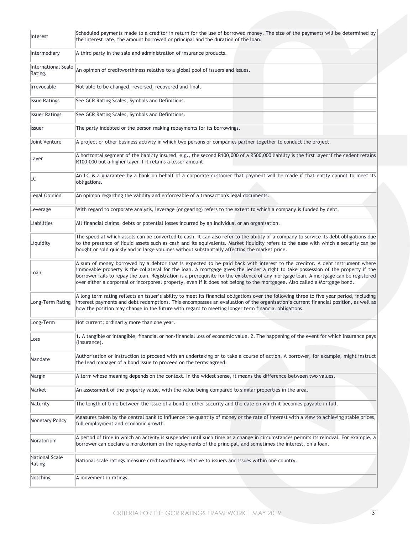| Interest                              | Scheduled payments made to a creditor in return for the use of borrowed money. The size of the payments will be determined by<br>the interest rate, the amount borrowed or principal and the duration of the loan.                                                                                                                                                                                                                                                                                                                     |
|---------------------------------------|----------------------------------------------------------------------------------------------------------------------------------------------------------------------------------------------------------------------------------------------------------------------------------------------------------------------------------------------------------------------------------------------------------------------------------------------------------------------------------------------------------------------------------------|
| Intermediary                          | A third party in the sale and administration of insurance products.                                                                                                                                                                                                                                                                                                                                                                                                                                                                    |
| <b>International Scale</b><br>Rating. | An opinion of creditworthiness relative to a global pool of issuers and issues.                                                                                                                                                                                                                                                                                                                                                                                                                                                        |
| Irrevocable                           | Not able to be changed, reversed, recovered and final.                                                                                                                                                                                                                                                                                                                                                                                                                                                                                 |
| <b>Issue Ratings</b>                  | See GCR Rating Scales, Symbols and Definitions.                                                                                                                                                                                                                                                                                                                                                                                                                                                                                        |
| <b>Issuer Ratings</b>                 | See GCR Rating Scales, Symbols and Definitions.                                                                                                                                                                                                                                                                                                                                                                                                                                                                                        |
| <b>Issuer</b>                         | The party indebted or the person making repayments for its borrowings.                                                                                                                                                                                                                                                                                                                                                                                                                                                                 |
| Joint Venture                         | A project or other business activity in which two persons or companies partner together to conduct the project.                                                                                                                                                                                                                                                                                                                                                                                                                        |
| Layer                                 | A horizontal segment of the liability insured, e.g., the second R100,000 of a R500,000 liability is the first layer if the cedent retains<br>R100,000 but a higher layer if it retains a lesser amount.                                                                                                                                                                                                                                                                                                                                |
| LC                                    | An LC is a guarantee by a bank on behalf of a corporate customer that payment will be made if that entity cannot to meet its<br>obligations.                                                                                                                                                                                                                                                                                                                                                                                           |
| Legal Opinion                         | An opinion regarding the validity and enforceable of a transaction's legal documents.                                                                                                                                                                                                                                                                                                                                                                                                                                                  |
| Leverage                              | With regard to corporate analysis, leverage (or gearing) refers to the extent to which a company is funded by debt.                                                                                                                                                                                                                                                                                                                                                                                                                    |
| Liabilities                           | All financial claims, debts or potential losses incurred by an individual or an organisation.                                                                                                                                                                                                                                                                                                                                                                                                                                          |
| Liquidity                             | The speed at which assets can be converted to cash. It can also refer to the ability of a company to service its debt obligations due<br>to the presence of liquid assets such as cash and its equivalents. Market liquidity refers to the ease with which a security can be<br>bought or sold quickly and in large volumes without substantially affecting the market price.                                                                                                                                                          |
| Loan                                  | A sum of money borrowed by a debtor that is expected to be paid back with interest to the creditor. A debt instrument where<br>immovable property is the collateral for the loan. A mortgage gives the lender a right to take possession of the property if the<br>borrower fails to repay the loan. Registration is a prerequisite for the existence of any mortgage loan. A mortgage can be registered<br>over either a corporeal or incorporeal property, even if it does not belong to the mortgagee. Also called a Mortgage bond. |
| Long-Term Rating                      | A long term rating reflects an issuer's ability to meet its financial obligations over the following three to five year period, including<br>interest payments and debt redemptions. This encompasses an evaluation of the organisation's current financial position, as well as<br>how the position may change in the future with regard to meeting longer term financial obligations.                                                                                                                                                |
| Long-Term                             | Not current; ordinarily more than one year.                                                                                                                                                                                                                                                                                                                                                                                                                                                                                            |
| Loss                                  | 1. A tangible or intangible, financial or non-financial loss of economic value. 2. The happening of the event for which insurance paysi<br>(insurance).                                                                                                                                                                                                                                                                                                                                                                                |
| Mandate                               | Authorisation or instruction to proceed with an undertaking or to take a course of action. A borrower, for example, might instruct<br>the lead manager of a bond issue to proceed on the terms agreed.                                                                                                                                                                                                                                                                                                                                 |
| Margin                                | A term whose meaning depends on the context. In the widest sense, it means the difference between two values.                                                                                                                                                                                                                                                                                                                                                                                                                          |
| Market                                | An assessment of the property value, with the value being compared to similar properties in the area.                                                                                                                                                                                                                                                                                                                                                                                                                                  |
| Maturity                              | The length of time between the issue of a bond or other security and the date on which it becomes payable in full.                                                                                                                                                                                                                                                                                                                                                                                                                     |
| <b>Monetary Policy</b>                | Measures taken by the central bank to influence the quantity of money or the rate of interest with a view to achieving stable prices,<br>full employment and economic growth.                                                                                                                                                                                                                                                                                                                                                          |
| Moratorium                            | A period of time in which an activity is suspended until such time as a change in circumstances permits its removal. For example, a<br>borrower can declare a moratorium on the repayments of the principal, and sometimes the interest, on a loan.                                                                                                                                                                                                                                                                                    |
| National Scale<br>Rating              | National scale ratings measure creditworthiness relative to issuers and issues within one country.                                                                                                                                                                                                                                                                                                                                                                                                                                     |
| Notching                              | A movement in ratings.                                                                                                                                                                                                                                                                                                                                                                                                                                                                                                                 |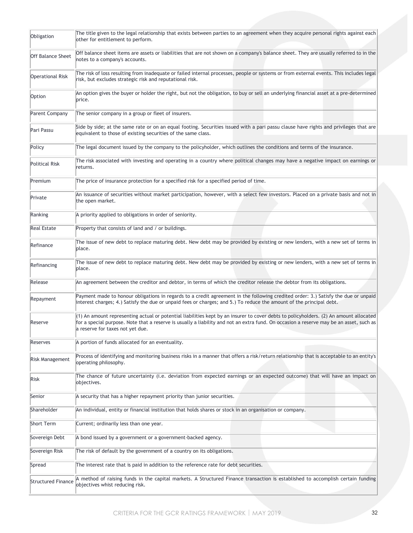| Obligation                | The title given to the legal relationship that exists between parties to an agreement when they acquire personal rights against each<br>other for entitlement to perform.                                                                                                                                             |
|---------------------------|-----------------------------------------------------------------------------------------------------------------------------------------------------------------------------------------------------------------------------------------------------------------------------------------------------------------------|
| <b>Off Balance Sheet</b>  | Off balance sheet items are assets or liabilities that are not shown on a company's balance sheet. They are usually referred to in the<br>notes to a company's accounts.                                                                                                                                              |
| <b>Operational Risk</b>   | The risk of loss resulting from inadequate or failed internal processes, people or systems or from external events. This includes legal<br>risk, but excludes strategic risk and reputational risk.                                                                                                                   |
| Option                    | An option gives the buyer or holder the right, but not the obligation, to buy or sell an underlying financial asset at a pre-determined<br>price.                                                                                                                                                                     |
| Parent Company            | The senior company in a group or fleet of insurers.                                                                                                                                                                                                                                                                   |
| Pari Passu                | Side by side; at the same rate or on an equal footing. Securities issued with a pari passu clause have rights and privileges that are<br>equivalent to those of existing securities of the same class.                                                                                                                |
| Policy                    | The legal document issued by the company to the policyholder, which outlines the conditions and terms of the insurance.                                                                                                                                                                                               |
| Political Risk            | The risk associated with investing and operating in a country where political changes may have a negative impact on earnings or<br>returns.                                                                                                                                                                           |
| Premium                   | The price of insurance protection for a specified risk for a specified period of time.                                                                                                                                                                                                                                |
| Private                   | An issuance of securities without market participation, however, with a select few investors. Placed on a private basis and not in<br>the open market.                                                                                                                                                                |
| Ranking                   | A priority applied to obligations in order of seniority.                                                                                                                                                                                                                                                              |
| <b>Real Estate</b>        | Property that consists of land and / or buildings.                                                                                                                                                                                                                                                                    |
| Refinance                 | The issue of new debt to replace maturing debt. New debt may be provided by existing or new lenders, with a new set of terms in<br>place.                                                                                                                                                                             |
| Refinancing               | The issue of new debt to replace maturing debt. New debt may be provided by existing or new lenders, with a new set of terms in<br>place.                                                                                                                                                                             |
| Release                   | An agreement between the creditor and debtor, in terms of which the creditor release the debtor from its obligations.                                                                                                                                                                                                 |
| Repayment                 | Payment made to honour obligations in regards to a credit agreement in the following credited order: 3.) Satisfy the due or unpaid<br>interest charges; 4.) Satisfy the due or unpaid fees or charges; and 5.) To reduce the amount of the principal debt.                                                            |
| Reserve                   | (1) An amount representing actual or potential liabilities kept by an insurer to cover debts to policyholders. (2) An amount allocated<br>for a special purpose. Note that a reserve is usually a liability and not an extra fund. On occasion a reserve may be an asset, such as<br>a reserve for taxes not yet due. |
| Reserves                  | A portion of funds allocated for an eventuality.                                                                                                                                                                                                                                                                      |
| Risk Management           | Process of identifying and monitoring business risks in a manner that offers a risk/return relationship that is acceptable to an entity's<br>operating philosophy.                                                                                                                                                    |
| Risk                      | The chance of future uncertainty (i.e. deviation from expected earnings or an expected outcome) that will have an impact on<br>objectives.                                                                                                                                                                            |
| Senior                    | A security that has a higher repayment priority than junior securities.                                                                                                                                                                                                                                               |
| Shareholder               | An individual, entity or financial institution that holds shares or stock in an organisation or company.                                                                                                                                                                                                              |
| <b>Short Term</b>         | Current; ordinarily less than one year.                                                                                                                                                                                                                                                                               |
| Sovereign Debt            | A bond issued by a government or a government-backed agency.                                                                                                                                                                                                                                                          |
| Sovereign Risk            | The risk of default by the government of a country on its obligations.                                                                                                                                                                                                                                                |
| Spread                    | The interest rate that is paid in addition to the reference rate for debt securities.                                                                                                                                                                                                                                 |
| <b>Structured Finance</b> | A method of raising funds in the capital markets. A Structured Finance transaction is established to accomplish certain funding<br>objectives whist reducing risk.                                                                                                                                                    |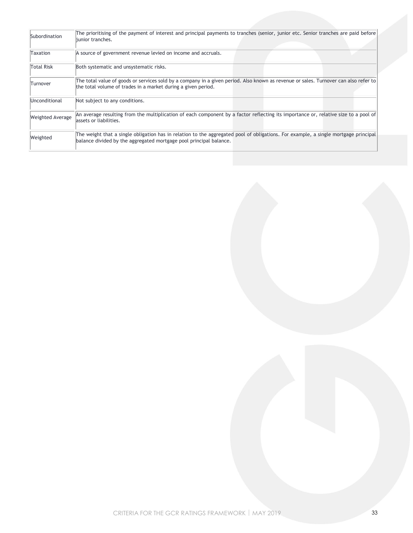| Subordination           | The prioritising of the payment of interest and principal payments to tranches (senior, junior etc. Senior tranches are paid before<br>liunior tranches.                                                  |
|-------------------------|-----------------------------------------------------------------------------------------------------------------------------------------------------------------------------------------------------------|
| Taxation                | A source of government revenue levied on income and accruals.                                                                                                                                             |
| <b>Total Risk</b>       | Both systematic and unsystematic risks.                                                                                                                                                                   |
| Turnover                | The total value of goods or services sold by a company in a given period. Also known as revenue or sales. Turnover can also refer to<br>the total volume of trades in a market during a given period.     |
| Unconditional           | Not subject to any conditions.                                                                                                                                                                            |
| <b>Weighted Average</b> | An average resulting from the multiplication of each component by a factor reflecting its importance or, relative size to a pool of<br>lassets or liabilities.                                            |
| Weighted                | The weight that a single obligation has in relation to the aggregated pool of obligations. For example, a single mortgage principal<br>balance divided by the aggregated mortgage pool principal balance. |